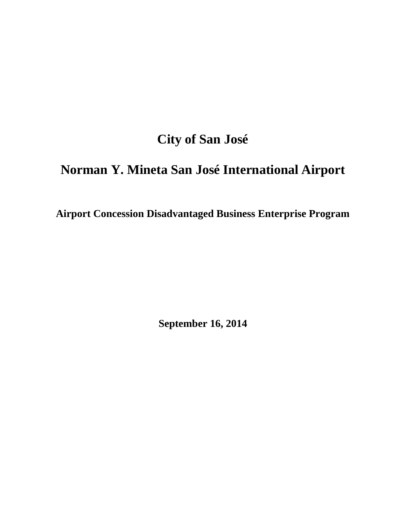# **City of San José**

# **Norman Y. Mineta San José International Airport**

**Airport Concession Disadvantaged Business Enterprise Program**

**September 16, 2014**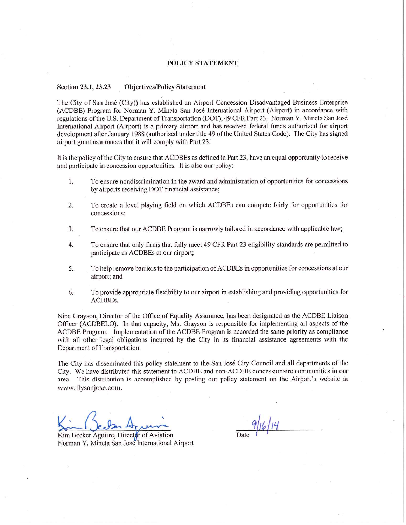#### **POLICY STATEMENT**

#### Section 23.1, 23.23 **Objectives/Policy Statement**

The City of San José (City)) has established an Airport Concession Disadvantaged Business Enterprise (ACDBE) Program for Norman Y. Mineta San José International Airport (Airport) in accordance with regulations of the U.S. Department of Transportation (DOT), 49 CFR Part 23. Norman Y. Mineta San José International Airport (Airport) is a primary airport and has received federal funds authorized for airport development after January 1988 (authorized under title 49 of the United States Code). The City has signed airport grant assurances that it will comply with Part 23.

It is the policy of the City to ensure that ACDBEs as defined in Part 23, have an equal opportunity to receive and participate in concession opportunities. It is also our policy:

- $1.$ To ensure nondiscrimination in the award and administration of opportunities for concessions by airports receiving DOT financial assistance;
- To create a level playing field on which ACDBEs can compete fairly for opportunities for  $\overline{2}$ . concessions:
- To ensure that our ACDBE Program is narrowly tailored in accordance with applicable law; 3.
- To ensure that only firms that fully meet 49 CFR Part 23 eligibility standards are permitted to  $4.$ participate as ACDBEs at our airport;
- 5. To help remove barriers to the participation of ACDBEs in opportunities for concessions at our airport; and
- To provide appropriate flexibility to our airport in establishing and providing opportunities for 6. ACDBEs.

Nina Grayson, Director of the Office of Equality Assurance, has been designated as the ACDBE Liaison Officer (ACDBELO). In that capacity, Ms. Grayson is responsible for implementing all aspects of the ACDBE Program. Implementation of the ACDBE Program is accorded the same priority as compliance with all other legal obligations incurred by the City in its financial assistance agreements with the Department of Transportation.

The City has disseminated this policy statement to the San José City Council and all departments of the City. We have distributed this statement to ACDBE and non-ACDBE concessionaire communities in our area. This distribution is accomplished by posting our policy statement on the Airport's website at www.flysanjose.com.

Kim Becker Aguirre, Director of Aviation Norman Y. Mineta San José International Airport

 $9/16/14$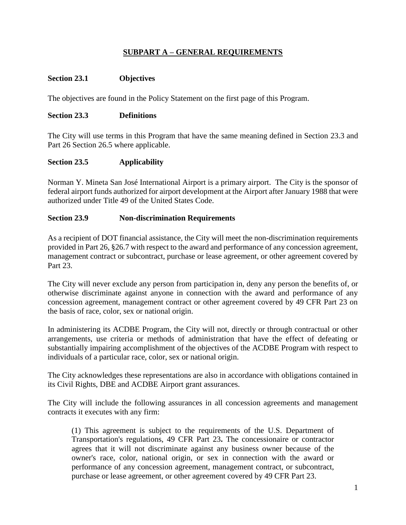# **SUBPART A – GENERAL REQUIREMENTS**

## **Section 23.1 Objectives**

The objectives are found in the Policy Statement on the first page of this Program.

#### **Section 23.3 Definitions**

The City will use terms in this Program that have the same meaning defined in Section 23.3 and Part 26 Section 26.5 where applicable.

#### **Section 23.5 Applicability**

Norman Y. Mineta San José International Airport is a primary airport. The City is the sponsor of federal airport funds authorized for airport development at the Airport after January 1988 that were authorized under Title 49 of the United States Code.

#### **Section 23.9 Non-discrimination Requirements**

As a recipient of DOT financial assistance, the City will meet the non-discrimination requirements provided in Part 26, §26.7 with respect to the award and performance of any concession agreement, management contract or subcontract, purchase or lease agreement, or other agreement covered by Part 23.

The City will never exclude any person from participation in, deny any person the benefits of, or otherwise discriminate against anyone in connection with the award and performance of any concession agreement, management contract or other agreement covered by 49 CFR Part 23 on the basis of race, color, sex or national origin.

In administering its ACDBE Program, the City will not, directly or through contractual or other arrangements, use criteria or methods of administration that have the effect of defeating or substantially impairing accomplishment of the objectives of the ACDBE Program with respect to individuals of a particular race, color, sex or national origin.

The City acknowledges these representations are also in accordance with obligations contained in its Civil Rights, DBE and ACDBE Airport grant assurances.

The City will include the following assurances in all concession agreements and management contracts it executes with any firm:

(1) This agreement is subject to the requirements of the U.S. Department of Transportation's regulations, 49 CFR Part 23**.** The concessionaire or contractor agrees that it will not discriminate against any business owner because of the owner's race, color, national origin, or sex in connection with the award or performance of any concession agreement, management contract, or subcontract, purchase or lease agreement, or other agreement covered by 49 CFR Part 23.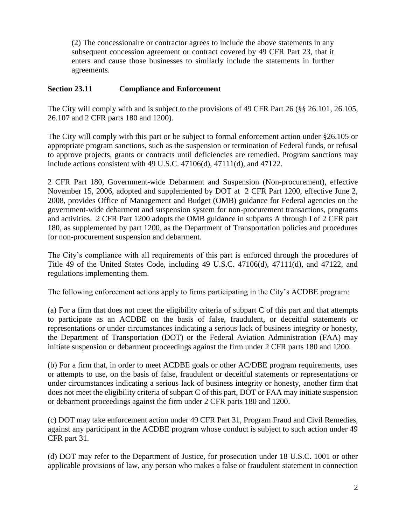(2) The concessionaire or contractor agrees to include the above statements in any subsequent concession agreement or contract covered by 49 CFR Part 23, that it enters and cause those businesses to similarly include the statements in further agreements.

## **Section 23.11 Compliance and Enforcement**

The City will comply with and is subject to the provisions of 49 CFR Part 26 (§§ 26.101, 26.105, 26.107 and 2 CFR parts 180 and 1200).

The City will comply with this part or be subject to formal enforcement action under §26.105 or appropriate program sanctions, such as the suspension or termination of Federal funds, or refusal to approve projects, grants or contracts until deficiencies are remedied. Program sanctions may include actions consistent with 49 U.S.C. 47106(d), 47111(d), and 47122.

2 CFR Part 180, Government-wide Debarment and Suspension (Non-procurement), effective November 15, 2006, adopted and supplemented by DOT at 2 CFR Part 1200, effective June 2, 2008, provides Office of Management and Budget (OMB) guidance for Federal agencies on the government-wide debarment and suspension system for non-procurement transactions, programs and activities. 2 CFR Part 1200 adopts the OMB guidance in subparts A through I of 2 CFR part 180, as supplemented by part 1200, as the Department of Transportation policies and procedures for non-procurement suspension and debarment.

The City's compliance with all requirements of this part is enforced through the procedures of Title 49 of the United States Code, including 49 U.S.C. 47106(d), 47111(d), and 47122, and regulations implementing them.

The following enforcement actions apply to firms participating in the City's ACDBE program:

(a) For a firm that does not meet the eligibility criteria of subpart C of this part and that attempts to participate as an ACDBE on the basis of false, fraudulent, or deceitful statements or representations or under circumstances indicating a serious lack of business integrity or honesty, the Department of Transportation (DOT) or the Federal Aviation Administration (FAA) may initiate suspension or debarment proceedings against the firm under 2 CFR parts 180 and 1200.

(b) For a firm that, in order to meet ACDBE goals or other AC/DBE program requirements, uses or attempts to use, on the basis of false, fraudulent or deceitful statements or representations or under circumstances indicating a serious lack of business integrity or honesty, another firm that does not meet the eligibility criteria of subpart C of this part, DOT or FAA may initiate suspension or debarment proceedings against the firm under 2 CFR parts 180 and 1200.

(c) DOT may take enforcement action under 49 CFR Part 31, Program Fraud and Civil Remedies, against any participant in the ACDBE program whose conduct is subject to such action under 49 CFR part 31.

(d) DOT may refer to the Department of Justice, for prosecution under 18 U.S.C. 1001 or other applicable provisions of law, any person who makes a false or fraudulent statement in connection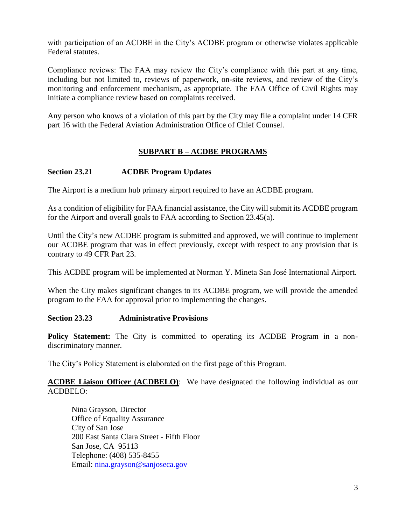with participation of an ACDBE in the City's ACDBE program or otherwise violates applicable Federal statutes.

Compliance reviews: The FAA may review the City's compliance with this part at any time, including but not limited to, reviews of paperwork, on-site reviews, and review of the City's monitoring and enforcement mechanism, as appropriate. The FAA Office of Civil Rights may initiate a compliance review based on complaints received.

Any person who knows of a violation of this part by the City may file a complaint under 14 CFR part 16 with the Federal Aviation Administration Office of Chief Counsel.

# **SUBPART B – ACDBE PROGRAMS**

# **Section 23.21 ACDBE Program Updates**

The Airport is a medium hub primary airport required to have an ACDBE program.

As a condition of eligibility for FAA financial assistance, the City will submit its ACDBE program for the Airport and overall goals to FAA according to Section 23.45(a).

Until the City's new ACDBE program is submitted and approved, we will continue to implement our ACDBE program that was in effect previously, except with respect to any provision that is contrary to 49 CFR Part 23.

This ACDBE program will be implemented at Norman Y. Mineta San José International Airport.

When the City makes significant changes to its ACDBE program, we will provide the amended program to the FAA for approval prior to implementing the changes.

#### **Section 23.23 Administrative Provisions**

**Policy Statement:** The City is committed to operating its ACDBE Program in a nondiscriminatory manner.

The City's Policy Statement is elaborated on the first page of this Program.

#### **ACDBE Liaison Officer (ACDBELO)**: We have designated the following individual as our ACDBELO:

Nina Grayson, Director Office of Equality Assurance City of San Jose 200 East Santa Clara Street - Fifth Floor San Jose, CA 95113 Telephone: (408) 535-8455 Email: [nina.grayson@sanjoseca.gov](mailto:nina.grayson@sanjoseca.gov)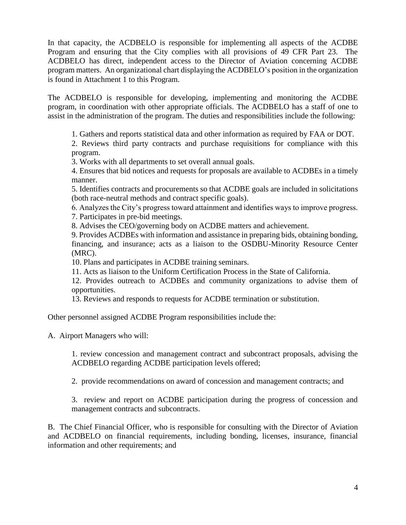In that capacity, the ACDBELO is responsible for implementing all aspects of the ACDBE Program and ensuring that the City complies with all provisions of 49 CFR Part 23. The ACDBELO has direct, independent access to the Director of Aviation concerning ACDBE program matters. An organizational chart displaying the ACDBELO's position in the organization is found in Attachment 1 to this Program.

The ACDBELO is responsible for developing, implementing and monitoring the ACDBE program, in coordination with other appropriate officials. The ACDBELO has a staff of one to assist in the administration of the program. The duties and responsibilities include the following:

1. Gathers and reports statistical data and other information as required by FAA or DOT.

2. Reviews third party contracts and purchase requisitions for compliance with this program.

3. Works with all departments to set overall annual goals.

4. Ensures that bid notices and requests for proposals are available to ACDBEs in a timely manner.

5. Identifies contracts and procurements so that ACDBE goals are included in solicitations (both race-neutral methods and contract specific goals).

6. Analyzes the City's progress toward attainment and identifies ways to improve progress. 7. Participates in pre-bid meetings.

8. Advises the CEO/governing body on ACDBE matters and achievement.

9. Provides ACDBEs with information and assistance in preparing bids, obtaining bonding, financing, and insurance; acts as a liaison to the OSDBU-Minority Resource Center (MRC).

10. Plans and participates in ACDBE training seminars.

11. Acts as liaison to the Uniform Certification Process in the State of California.

12. Provides outreach to ACDBEs and community organizations to advise them of opportunities.

13. Reviews and responds to requests for ACDBE termination or substitution.

Other personnel assigned ACDBE Program responsibilities include the:

A. Airport Managers who will:

1. review concession and management contract and subcontract proposals, advising the ACDBELO regarding ACDBE participation levels offered;

2. provide recommendations on award of concession and management contracts; and

3. review and report on ACDBE participation during the progress of concession and management contracts and subcontracts.

B. The Chief Financial Officer, who is responsible for consulting with the Director of Aviation and ACDBELO on financial requirements, including bonding, licenses, insurance, financial information and other requirements; and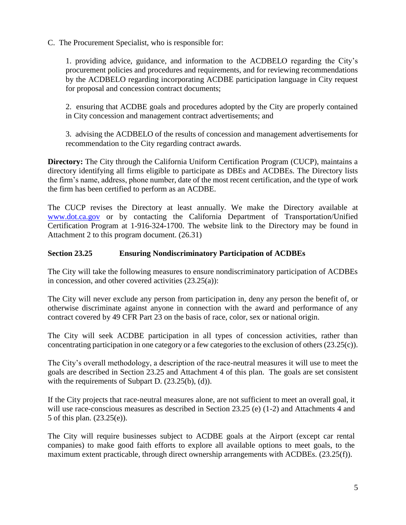C. The Procurement Specialist, who is responsible for:

1. providing advice, guidance, and information to the ACDBELO regarding the City's procurement policies and procedures and requirements, and for reviewing recommendations by the ACDBELO regarding incorporating ACDBE participation language in City request for proposal and concession contract documents;

2. ensuring that ACDBE goals and procedures adopted by the City are properly contained in City concession and management contract advertisements; and

3. advising the ACDBELO of the results of concession and management advertisements for recommendation to the City regarding contract awards.

**Directory:** The City through the California Uniform Certification Program (CUCP), maintains a directory identifying all firms eligible to participate as DBEs and ACDBEs. The Directory lists the firm's name, address, phone number, date of the most recent certification, and the type of work the firm has been certified to perform as an ACDBE.

The CUCP revises the Directory at least annually. We make the Directory available at [www.dot.ca.gov](http://www.dot.ca.gov/) or by contacting the California Department of Transportation/Unified Certification Program at 1-916-324-1700. The website link to the Directory may be found in Attachment 2 to this program document. (26.31)

# **Section 23.25 Ensuring Nondiscriminatory Participation of ACDBEs**

The City will take the following measures to ensure nondiscriminatory participation of ACDBEs in concession, and other covered activities  $(23.25(a))$ :

The City will never exclude any person from participation in, deny any person the benefit of, or otherwise discriminate against anyone in connection with the award and performance of any contract covered by 49 CFR Part 23 on the basis of race, color, sex or national origin.

The City will seek ACDBE participation in all types of concession activities, rather than concentrating participation in one category or a few categories to the exclusion of others (23.25(c)).

The City's overall methodology, a description of the race-neutral measures it will use to meet the goals are described in Section 23.25 and Attachment 4 of this plan. The goals are set consistent with the requirements of Subpart D. (23.25(b), (d)).

If the City projects that race-neutral measures alone, are not sufficient to meet an overall goal, it will use race-conscious measures as described in Section 23.25 (e) (1-2) and Attachments 4 and 5 of this plan. (23.25(e)).

The City will require businesses subject to ACDBE goals at the Airport (except car rental companies) to make good faith efforts to explore all available options to meet goals, to the maximum extent practicable, through direct ownership arrangements with ACDBEs. (23.25(f)).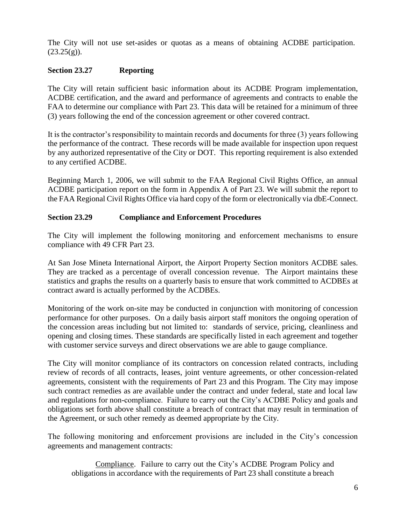The City will not use set-asides or quotas as a means of obtaining ACDBE participation.  $(23.25(g))$ .

#### **Section 23.27 Reporting**

The City will retain sufficient basic information about its ACDBE Program implementation, ACDBE certification, and the award and performance of agreements and contracts to enable the FAA to determine our compliance with Part 23. This data will be retained for a minimum of three (3) years following the end of the concession agreement or other covered contract.

It is the contractor's responsibility to maintain records and documents for three (3) years following the performance of the contract. These records will be made available for inspection upon request by any authorized representative of the City or DOT. This reporting requirement is also extended to any certified ACDBE.

Beginning March 1, 2006, we will submit to the FAA Regional Civil Rights Office, an annual ACDBE participation report on the form in Appendix A of Part 23. We will submit the report to the FAA Regional Civil Rights Office via hard copy of the form or electronically via dbE-Connect.

#### **Section 23.29 Compliance and Enforcement Procedures**

The City will implement the following monitoring and enforcement mechanisms to ensure compliance with 49 CFR Part 23.

At San Jose Mineta International Airport, the Airport Property Section monitors ACDBE sales. They are tracked as a percentage of overall concession revenue. The Airport maintains these statistics and graphs the results on a quarterly basis to ensure that work committed to ACDBEs at contract award is actually performed by the ACDBEs.

Monitoring of the work on-site may be conducted in conjunction with monitoring of concession performance for other purposes. On a daily basis airport staff monitors the ongoing operation of the concession areas including but not limited to: standards of service, pricing, cleanliness and opening and closing times. These standards are specifically listed in each agreement and together with customer service surveys and direct observations we are able to gauge compliance.

The City will monitor compliance of its contractors on concession related contracts, including review of records of all contracts, leases, joint venture agreements, or other concession-related agreements, consistent with the requirements of Part 23 and this Program. The City may impose such contract remedies as are available under the contract and under federal, state and local law and regulations for non-compliance. Failure to carry out the City's ACDBE Policy and goals and obligations set forth above shall constitute a breach of contract that may result in termination of the Agreement, or such other remedy as deemed appropriate by the City.

The following monitoring and enforcement provisions are included in the City's concession agreements and management contracts:

Compliance. Failure to carry out the City's ACDBE Program Policy and obligations in accordance with the requirements of Part 23 shall constitute a breach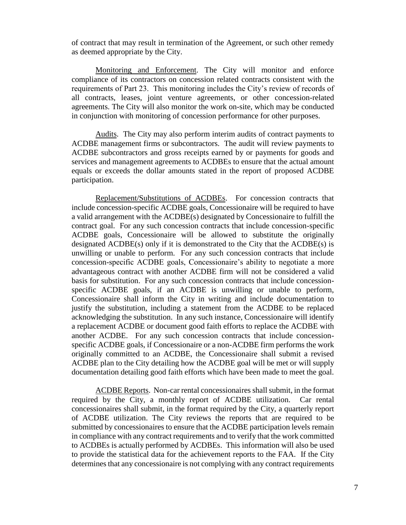of contract that may result in termination of the Agreement, or such other remedy as deemed appropriate by the City.

Monitoring and Enforcement. The City will monitor and enforce compliance of its contractors on concession related contracts consistent with the requirements of Part 23. This monitoring includes the City's review of records of all contracts, leases, joint venture agreements, or other concession-related agreements. The City will also monitor the work on-site, which may be conducted in conjunction with monitoring of concession performance for other purposes.

Audits. The City may also perform interim audits of contract payments to ACDBE management firms or subcontractors. The audit will review payments to ACDBE subcontractors and gross receipts earned by or payments for goods and services and management agreements to ACDBEs to ensure that the actual amount equals or exceeds the dollar amounts stated in the report of proposed ACDBE participation.

Replacement/Substitutions of ACDBEs. For concession contracts that include concession-specific ACDBE goals, Concessionaire will be required to have a valid arrangement with the ACDBE(s) designated by Concessionaire to fulfill the contract goal. For any such concession contracts that include concession-specific ACDBE goals, Concessionaire will be allowed to substitute the originally designated ACDBE(s) only if it is demonstrated to the City that the ACDBE(s) is unwilling or unable to perform. For any such concession contracts that include concession-specific ACDBE goals, Concessionaire's ability to negotiate a more advantageous contract with another ACDBE firm will not be considered a valid basis for substitution. For any such concession contracts that include concessionspecific ACDBE goals, if an ACDBE is unwilling or unable to perform, Concessionaire shall inform the City in writing and include documentation to justify the substitution, including a statement from the ACDBE to be replaced acknowledging the substitution. In any such instance, Concessionaire will identify a replacement ACDBE or document good faith efforts to replace the ACDBE with another ACDBE. For any such concession contracts that include concessionspecific ACDBE goals, if Concessionaire or a non-ACDBE firm performs the work originally committed to an ACDBE, the Concessionaire shall submit a revised ACDBE plan to the City detailing how the ACDBE goal will be met or will supply documentation detailing good faith efforts which have been made to meet the goal.

ACDBE Reports. Non-car rental concessionaires shall submit, in the format required by the City, a monthly report of ACDBE utilization. Car rental concessionaires shall submit, in the format required by the City, a quarterly report of ACDBE utilization. The City reviews the reports that are required to be submitted by concessionaires to ensure that the ACDBE participation levels remain in compliance with any contract requirements and to verify that the work committed to ACDBEs is actually performed by ACDBEs. This information will also be used to provide the statistical data for the achievement reports to the FAA. If the City determines that any concessionaire is not complying with any contract requirements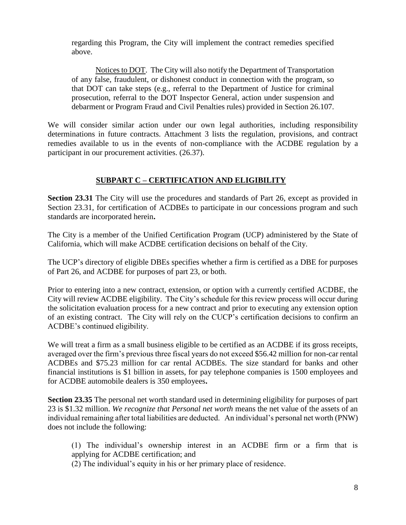regarding this Program, the City will implement the contract remedies specified above.

Notices to DOT. The City will also notify the Department of Transportation of any false, fraudulent, or dishonest conduct in connection with the program, so that DOT can take steps (e.g., referral to the Department of Justice for criminal prosecution, referral to the DOT Inspector General, action under suspension and debarment or Program Fraud and Civil Penalties rules) provided in Section 26.107.

We will consider similar action under our own legal authorities, including responsibility determinations in future contracts. Attachment 3 lists the regulation, provisions, and contract remedies available to us in the events of non-compliance with the ACDBE regulation by a participant in our procurement activities. (26.37).

# **SUBPART C – CERTIFICATION AND ELIGIBILITY**

**Section 23.31** The City will use the procedures and standards of Part 26, except as provided in Section 23.31, for certification of ACDBEs to participate in our concessions program and such standards are incorporated herein**.**

The City is a member of the Unified Certification Program (UCP) administered by the State of California, which will make ACDBE certification decisions on behalf of the City.

The UCP's directory of eligible DBEs specifies whether a firm is certified as a DBE for purposes of Part 26, and ACDBE for purposes of part 23, or both.

Prior to entering into a new contract, extension, or option with a currently certified ACDBE, the City will review ACDBE eligibility. The City's schedule for this review process will occur during the solicitation evaluation process for a new contract and prior to executing any extension option of an existing contract. The City will rely on the CUCP's certification decisions to confirm an ACDBE's continued eligibility.

We will treat a firm as a small business eligible to be certified as an ACDBE if its gross receipts, averaged over the firm's previous three fiscal years do not exceed \$56.42 million for non-car rental ACDBEs and \$75.23 million for car rental ACDBEs. The size standard for banks and other financial institutions is \$1 billion in assets, for pay telephone companies is 1500 employees and for ACDBE automobile dealers is 350 employees**.** 

**Section 23.35** The personal net worth standard used in determining eligibility for purposes of part 23 is \$1.32 million. *We recognize that Personal net worth* means the net value of the assets of an individual remaining after total liabilities are deducted. An individual's personal net worth (PNW) does not include the following:

(1) The individual's ownership interest in an ACDBE firm or a firm that is applying for ACDBE certification; and

(2) The individual's equity in his or her primary place of residence.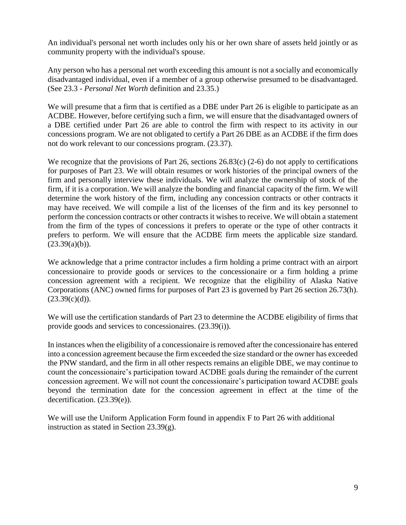An individual's personal net worth includes only his or her own share of assets held jointly or as community property with the individual's spouse.

Any person who has a personal net worth exceeding this amount is not a socially and economically disadvantaged individual, even if a member of a group otherwise presumed to be disadvantaged. (See 23.3 - *Personal Net Worth* definition and 23.35.)

We will presume that a firm that is certified as a DBE under Part 26 is eligible to participate as an ACDBE. However, before certifying such a firm, we will ensure that the disadvantaged owners of a DBE certified under Part 26 are able to control the firm with respect to its activity in our concessions program. We are not obligated to certify a Part 26 DBE as an ACDBE if the firm does not do work relevant to our concessions program. (23.37).

We recognize that the provisions of Part 26, sections 26.83(c) (2-6) do not apply to certifications for purposes of Part 23. We will obtain resumes or work histories of the principal owners of the firm and personally interview these individuals. We will analyze the ownership of stock of the firm, if it is a corporation. We will analyze the bonding and financial capacity of the firm. We will determine the work history of the firm, including any concession contracts or other contracts it may have received. We will compile a list of the licenses of the firm and its key personnel to perform the concession contracts or other contracts it wishes to receive. We will obtain a statement from the firm of the types of concessions it prefers to operate or the type of other contracts it prefers to perform. We will ensure that the ACDBE firm meets the applicable size standard.  $(23.39(a)(b))$ .

We acknowledge that a prime contractor includes a firm holding a prime contract with an airport concessionaire to provide goods or services to the concessionaire or a firm holding a prime concession agreement with a recipient. We recognize that the eligibility of Alaska Native Corporations (ANC) owned firms for purposes of Part 23 is governed by Part 26 section 26.73(h).  $(23.39(c)(d))$ .

We will use the certification standards of Part 23 to determine the ACDBE eligibility of firms that provide goods and services to concessionaires. (23.39(i)).

In instances when the eligibility of a concessionaire is removed after the concessionaire has entered into a concession agreement because the firm exceeded the size standard or the owner has exceeded the PNW standard, and the firm in all other respects remains an eligible DBE, we may continue to count the concessionaire's participation toward ACDBE goals during the remainder of the current concession agreement. We will not count the concessionaire's participation toward ACDBE goals beyond the termination date for the concession agreement in effect at the time of the decertification. (23.39(e)).

We will use the Uniform Application Form found in appendix F to Part 26 with additional instruction as stated in Section 23.39(g).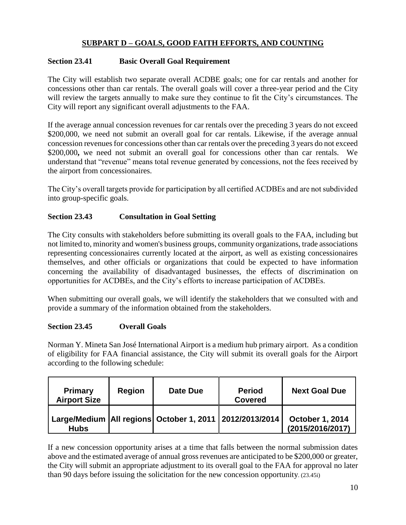# **SUBPART D – GOALS, GOOD FAITH EFFORTS, AND COUNTING**

## **Section 23.41 Basic Overall Goal Requirement**

The City will establish two separate overall ACDBE goals; one for car rentals and another for concessions other than car rentals. The overall goals will cover a three-year period and the City will review the targets annually to make sure they continue to fit the City's circumstances. The City will report any significant overall adjustments to the FAA.

If the average annual concession revenues for car rentals over the preceding 3 years do not exceed \$200,000, we need not submit an overall goal for car rentals. Likewise, if the average annual concession revenues for concessions other than car rentals over the preceding 3 years do not exceed \$200,000, we need not submit an overall goal for concessions other than car rentals. We understand that "revenue" means total revenue generated by concessions, not the fees received by the airport from concessionaires.

The City's overall targets provide for participation by all certified ACDBEs and are not subdivided into group-specific goals.

# **Section 23.43 Consultation in Goal Setting**

The City consults with stakeholders before submitting its overall goals to the FAA, including but not limited to, minority and women's business groups, community organizations, trade associations representing concessionaires currently located at the airport, as well as existing concessionaires themselves, and other officials or organizations that could be expected to have information concerning the availability of disadvantaged businesses, the effects of discrimination on opportunities for ACDBEs, and the City's efforts to increase participation of ACDBEs.

When submitting our overall goals, we will identify the stakeholders that we consulted with and provide a summary of the information obtained from the stakeholders.

#### **Section 23.45 Overall Goals**

Norman Y. Mineta San José International Airport is a medium hub primary airport. As a condition of eligibility for FAA financial assistance, the City will submit its overall goals for the Airport according to the following schedule:

| Primary<br><b>Airport Size</b> | <b>Region</b> | Date Due                                                      | <b>Period</b><br><b>Covered</b> | <b>Next Goal Due</b>                       |
|--------------------------------|---------------|---------------------------------------------------------------|---------------------------------|--------------------------------------------|
| <b>Hubs</b>                    |               | Large/Medium   All regions   October 1, 2011   2012/2013/2014 |                                 | <b>October 1, 2014</b><br>(2015/2016/2017) |

If a new concession opportunity arises at a time that falls between the normal submission dates above and the estimated average of annual gross revenues are anticipated to be \$200,000 or greater, the City will submit an appropriate adjustment to its overall goal to the FAA for approval no later than 90 days before issuing the solicitation for the new concession opportunity. (23.45i)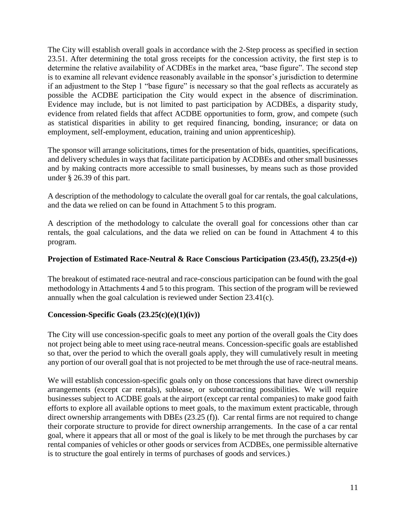The City will establish overall goals in accordance with the 2-Step process as specified in section 23.51. After determining the total gross receipts for the concession activity, the first step is to determine the relative availability of ACDBEs in the market area, "base figure". The second step is to examine all relevant evidence reasonably available in the sponsor's jurisdiction to determine if an adjustment to the Step 1 "base figure" is necessary so that the goal reflects as accurately as possible the ACDBE participation the City would expect in the absence of discrimination. Evidence may include, but is not limited to past participation by ACDBEs, a disparity study, evidence from related fields that affect ACDBE opportunities to form, grow, and compete (such as statistical disparities in ability to get required financing, bonding, insurance; or data on employment, self-employment, education, training and union apprenticeship).

The sponsor will arrange solicitations, times for the presentation of bids, quantities, specifications, and delivery schedules in ways that facilitate participation by ACDBEs and other small businesses and by making contracts more accessible to small businesses, by means such as those provided under § 26.39 of this part.

A description of the methodology to calculate the overall goal for car rentals, the goal calculations, and the data we relied on can be found in Attachment 5 to this program.

A description of the methodology to calculate the overall goal for concessions other than car rentals, the goal calculations, and the data we relied on can be found in Attachment 4 to this program.

#### **Projection of Estimated Race-Neutral & Race Conscious Participation (23.45(f), 23.25(d-e))**

The breakout of estimated race-neutral and race-conscious participation can be found with the goal methodology in Attachments 4 and 5 to this program. This section of the program will be reviewed annually when the goal calculation is reviewed under Section 23.41(c).

#### **Concession-Specific Goals (23.25(c)(e)(1)(iv))**

The City will use concession-specific goals to meet any portion of the overall goals the City does not project being able to meet using race-neutral means. Concession-specific goals are established so that, over the period to which the overall goals apply, they will cumulatively result in meeting any portion of our overall goal that is not projected to be met through the use of race-neutral means.

We will establish concession-specific goals only on those concessions that have direct ownership arrangements (except car rentals), sublease, or subcontracting possibilities. We will require businesses subject to ACDBE goals at the airport (except car rental companies) to make good faith efforts to explore all available options to meet goals, to the maximum extent practicable, through direct ownership arrangements with DBEs (23.25 (f)). Car rental firms are not required to change their corporate structure to provide for direct ownership arrangements. In the case of a car rental goal, where it appears that all or most of the goal is likely to be met through the purchases by car rental companies of vehicles or other goods or services from ACDBEs, one permissible alternative is to structure the goal entirely in terms of purchases of goods and services.)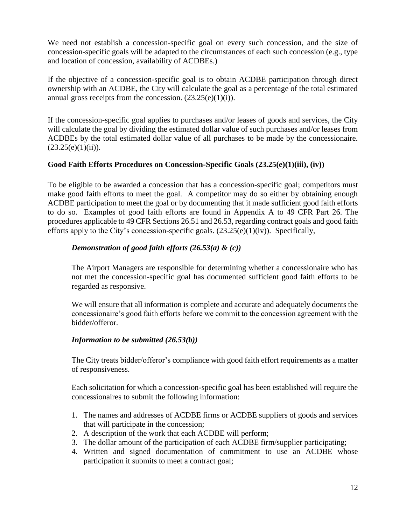We need not establish a concession-specific goal on every such concession, and the size of concession-specific goals will be adapted to the circumstances of each such concession (e.g., type and location of concession, availability of ACDBEs.)

If the objective of a concession-specific goal is to obtain ACDBE participation through direct ownership with an ACDBE, the City will calculate the goal as a percentage of the total estimated annual gross receipts from the concession.  $(23.25(e)(1)(i))$ .

If the concession-specific goal applies to purchases and/or leases of goods and services, the City will calculate the goal by dividing the estimated dollar value of such purchases and/or leases from ACDBEs by the total estimated dollar value of all purchases to be made by the concessionaire.  $(23.25(e)(1)(ii))$ .

#### **Good Faith Efforts Procedures on Concession-Specific Goals (23.25(e)(1)(iii), (iv))**

To be eligible to be awarded a concession that has a concession-specific goal; competitors must make good faith efforts to meet the goal. A competitor may do so either by obtaining enough ACDBE participation to meet the goal or by documenting that it made sufficient good faith efforts to do so. Examples of good faith efforts are found in Appendix A to 49 CFR Part 26. The procedures applicable to 49 CFR Sections 26.51 and 26.53, regarding contract goals and good faith efforts apply to the City's concession-specific goals.  $(23.25(e)(1)(iv))$ . Specifically,

# *Demonstration of good faith efforts (26.53(a) & (c))*

The Airport Managers are responsible for determining whether a concessionaire who has not met the concession-specific goal has documented sufficient good faith efforts to be regarded as responsive.

We will ensure that all information is complete and accurate and adequately documents the concessionaire's good faith efforts before we commit to the concession agreement with the bidder/offeror.

#### *Information to be submitted (26.53(b))*

The City treats bidder/offeror's compliance with good faith effort requirements as a matter of responsiveness.

Each solicitation for which a concession-specific goal has been established will require the concessionaires to submit the following information:

- 1. The names and addresses of ACDBE firms or ACDBE suppliers of goods and services that will participate in the concession;
- 2. A description of the work that each ACDBE will perform;
- 3. The dollar amount of the participation of each ACDBE firm/supplier participating;
- 4. Written and signed documentation of commitment to use an ACDBE whose participation it submits to meet a contract goal;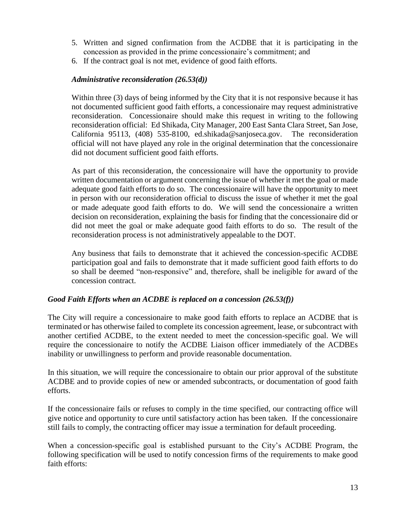- 5. Written and signed confirmation from the ACDBE that it is participating in the concession as provided in the prime concessionaire's commitment; and
- 6. If the contract goal is not met, evidence of good faith efforts.

#### *Administrative reconsideration (26.53(d))*

Within three (3) days of being informed by the City that it is not responsive because it has not documented sufficient good faith efforts, a concessionaire may request administrative reconsideration. Concessionaire should make this request in writing to the following reconsideration official: Ed Shikada, City Manager, 200 East Santa Clara Street, San Jose, California 95113, (408) 535-8100, ed.shikada@sanjoseca.gov. The reconsideration official will not have played any role in the original determination that the concessionaire did not document sufficient good faith efforts.

As part of this reconsideration, the concessionaire will have the opportunity to provide written documentation or argument concerning the issue of whether it met the goal or made adequate good faith efforts to do so. The concessionaire will have the opportunity to meet in person with our reconsideration official to discuss the issue of whether it met the goal or made adequate good faith efforts to do. We will send the concessionaire a written decision on reconsideration, explaining the basis for finding that the concessionaire did or did not meet the goal or make adequate good faith efforts to do so. The result of the reconsideration process is not administratively appealable to the DOT.

Any business that fails to demonstrate that it achieved the concession-specific ACDBE participation goal and fails to demonstrate that it made sufficient good faith efforts to do so shall be deemed "non-responsive" and, therefore, shall be ineligible for award of the concession contract.

#### *Good Faith Efforts when an ACDBE is replaced on a concession (26.53(f))*

The City will require a concessionaire to make good faith efforts to replace an ACDBE that is terminated or has otherwise failed to complete its concession agreement, lease, or subcontract with another certified ACDBE, to the extent needed to meet the concession-specific goal. We will require the concessionaire to notify the ACDBE Liaison officer immediately of the ACDBEs inability or unwillingness to perform and provide reasonable documentation.

In this situation, we will require the concessionaire to obtain our prior approval of the substitute ACDBE and to provide copies of new or amended subcontracts, or documentation of good faith efforts.

If the concessionaire fails or refuses to comply in the time specified, our contracting office will give notice and opportunity to cure until satisfactory action has been taken. If the concessionaire still fails to comply, the contracting officer may issue a termination for default proceeding.

When a concession-specific goal is established pursuant to the City's ACDBE Program, the following specification will be used to notify concession firms of the requirements to make good faith efforts: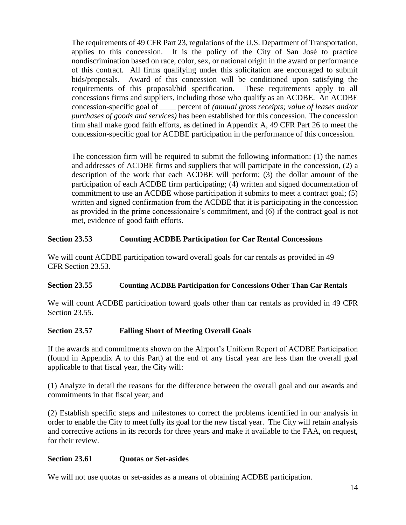The requirements of 49 CFR Part 23, regulations of the U.S. Department of Transportation, applies to this concession. It is the policy of the City of San José to practice nondiscrimination based on race, color, sex, or national origin in the award or performance of this contract. All firms qualifying under this solicitation are encouraged to submit bids/proposals. Award of this concession will be conditioned upon satisfying the requirements of this proposal/bid specification. These requirements apply to all concessions firms and suppliers, including those who qualify as an ACDBE. An ACDBE concession-specific goal of \_\_\_\_ percent of *(annual gross receipts; value of leases and/or purchases of goods and services)* has been established for this concession. The concession firm shall make good faith efforts, as defined in Appendix A, 49 CFR Part 26 to meet the concession-specific goal for ACDBE participation in the performance of this concession.

The concession firm will be required to submit the following information: (1) the names and addresses of ACDBE firms and suppliers that will participate in the concession, (2) a description of the work that each ACDBE will perform; (3) the dollar amount of the participation of each ACDBE firm participating; (4) written and signed documentation of commitment to use an ACDBE whose participation it submits to meet a contract goal; (5) written and signed confirmation from the ACDBE that it is participating in the concession as provided in the prime concessionaire's commitment, and (6) if the contract goal is not met, evidence of good faith efforts.

#### **Section 23.53 Counting ACDBE Participation for Car Rental Concessions**

We will count ACDBE participation toward overall goals for car rentals as provided in 49 CFR Section 23.53.

#### **Section 23.55 Counting ACDBE Participation for Concessions Other Than Car Rentals**

We will count ACDBE participation toward goals other than car rentals as provided in 49 CFR Section 23.55.

#### **Section 23.57 Falling Short of Meeting Overall Goals**

If the awards and commitments shown on the Airport's Uniform Report of ACDBE Participation (found in Appendix A to this Part) at the end of any fiscal year are less than the overall goal applicable to that fiscal year, the City will:

(1) Analyze in detail the reasons for the difference between the overall goal and our awards and commitments in that fiscal year; and

(2) Establish specific steps and milestones to correct the problems identified in our analysis in order to enable the City to meet fully its goal for the new fiscal year. The City will retain analysis and corrective actions in its records for three years and make it available to the FAA, on request, for their review.

#### **Section 23.61 Quotas or Set-asides**

We will not use quotas or set-asides as a means of obtaining ACDBE participation.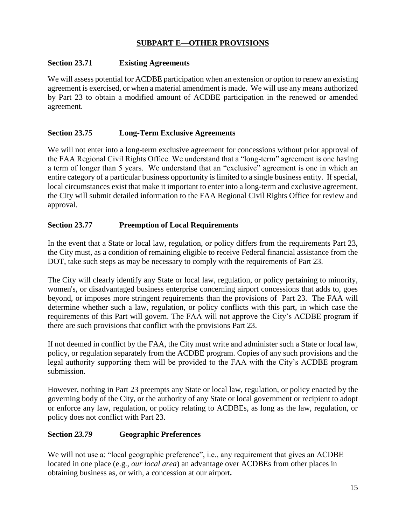### **SUBPART E—OTHER PROVISIONS**

#### **Section 23.71 Existing Agreements**

We will assess potential for ACDBE participation when an extension or option to renew an existing agreement is exercised, or when a material amendment is made. We will use any means authorized by Part 23 to obtain a modified amount of ACDBE participation in the renewed or amended agreement.

#### **Section 23.75 Long-Term Exclusive Agreements**

We will not enter into a long-term exclusive agreement for concessions without prior approval of the FAA Regional Civil Rights Office. We understand that a "long-term" agreement is one having a term of longer than 5 years. We understand that an "exclusive" agreement is one in which an entire category of a particular business opportunity is limited to a single business entity. If special, local circumstances exist that make it important to enter into a long-term and exclusive agreement, the City will submit detailed information to the FAA Regional Civil Rights Office for review and approval.

#### **Section 23.77 Preemption of Local Requirements**

In the event that a State or local law, regulation, or policy differs from the requirements Part 23, the City must, as a condition of remaining eligible to receive Federal financial assistance from the DOT, take such steps as may be necessary to comply with the requirements of Part 23.

The City will clearly identify any State or local law, regulation, or policy pertaining to minority, women's, or disadvantaged business enterprise concerning airport concessions that adds to, goes beyond, or imposes more stringent requirements than the provisions of Part 23. The FAA will determine whether such a law, regulation, or policy conflicts with this part, in which case the requirements of this Part will govern. The FAA will not approve the City's ACDBE program if there are such provisions that conflict with the provisions Part 23.

If not deemed in conflict by the FAA, the City must write and administer such a State or local law, policy, or regulation separately from the ACDBE program. Copies of any such provisions and the legal authority supporting them will be provided to the FAA with the City's ACDBE program submission.

However, nothing in Part 23 preempts any State or local law, regulation, or policy enacted by the governing body of the City, or the authority of any State or local government or recipient to adopt or enforce any law, regulation, or policy relating to ACDBEs, as long as the law, regulation, or policy does not conflict with Part 23.

#### **Section** *23.79* **Geographic Preferences**

We will not use a: "local geographic preference", i.e., any requirement that gives an ACDBE located in one place (e.g., *our local area*) an advantage over ACDBEs from other places in obtaining business as, or with, a concession at our airport**.**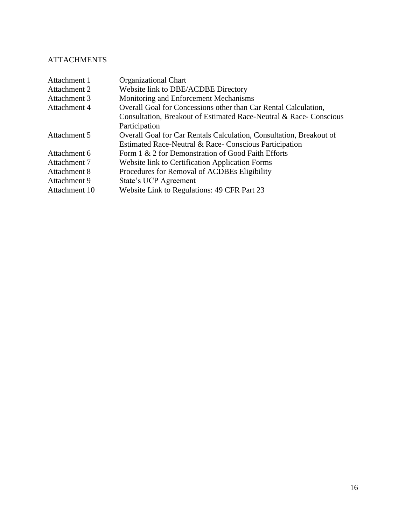# **ATTACHMENTS**

| Attachment 1  | <b>Organizational Chart</b>                                         |
|---------------|---------------------------------------------------------------------|
| Attachment 2  | Website link to DBE/ACDBE Directory                                 |
| Attachment 3  | Monitoring and Enforcement Mechanisms                               |
| Attachment 4  | Overall Goal for Concessions other than Car Rental Calculation,     |
|               | Consultation, Breakout of Estimated Race-Neutral & Race-Conscious   |
|               | Participation                                                       |
| Attachment 5  | Overall Goal for Car Rentals Calculation, Consultation, Breakout of |
|               | Estimated Race-Neutral & Race-Conscious Participation               |
| Attachment 6  | Form 1 & 2 for Demonstration of Good Faith Efforts                  |
| Attachment 7  | Website link to Certification Application Forms                     |
| Attachment 8  | Procedures for Removal of ACDBEs Eligibility                        |
| Attachment 9  | <b>State's UCP Agreement</b>                                        |
| Attachment 10 | Website Link to Regulations: 49 CFR Part 23                         |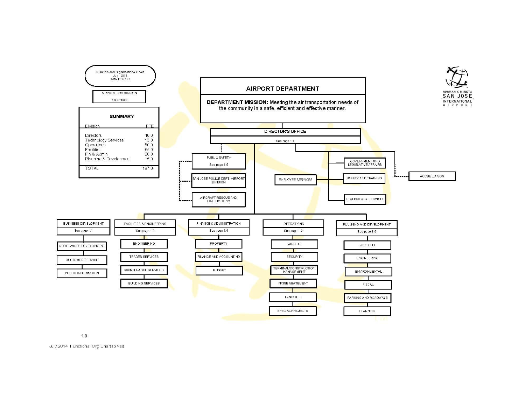

 $1.0$ 

July 2014 Functional Org Chart1b.vsd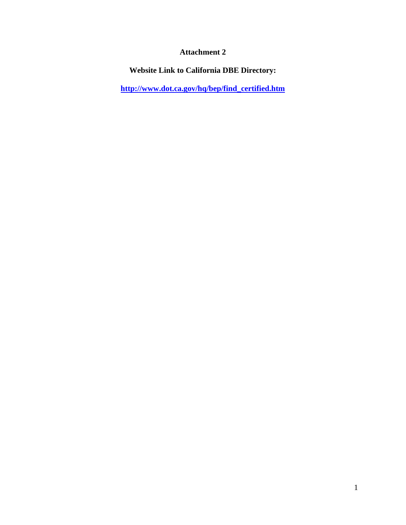**Website Link to California DBE Directory:**

**[http://www.dot.ca.gov/hq/bep/find\\_certified.htm](http://www.dot.ca.gov/hq/bep/find_certified.htm)**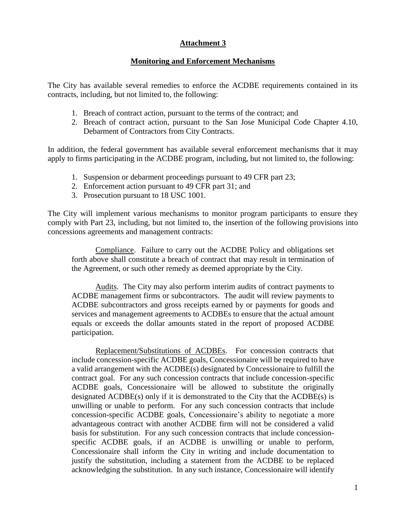#### **Monitoring and Enforcement Mechanisms**

The City has available several remedies to enforce the ACDBE requirements contained in its contracts, including, but not limited to, the following:

- 1. Breach of contract action, pursuant to the terms of the contract; and
- 2. Breach of contract action, pursuant to the San Jose Municipal Code Chapter 4.10, Debarment of Contractors from City Contracts.

In addition, the federal government has available several enforcement mechanisms that it may apply to firms participating in the ACDBE program, including, but not limited to, the following:

- 1. Suspension or debarment proceedings pursuant to 49 CFR part 23;
- 2. Enforcement action pursuant to 49 CFR part 31; and
- 3. Prosecution pursuant to 18 USC 1001.

The City will implement various mechanisms to monitor program participants to ensure they comply with Part 23, including, but not limited to, the insertion of the following provisions into concessions agreements and management contracts:

Compliance. Failure to carry out the ACDBE Policy and obligations set forth above shall constitute a breach of contract that may result in termination of the Agreement, or such other remedy as deemed appropriate by the City.

Audits. The City may also perform interim audits of contract payments to ACDBE management firms or subcontractors. The audit will review payments to ACDBE subcontractors and gross receipts earned by or payments for goods and services and management agreements to ACDBEs to ensure that the actual amount equals or exceeds the dollar amounts stated in the report of proposed ACDBE participation.

Replacement/Substitutions of ACDBEs. For concession contracts that include concession-specific ACDBE goals, Concessionaire will be required to have a valid arrangement with the ACDBE(s) designated by Concessionaire to fulfill the contract goal. For any such concession contracts that include concession-specific ACDBE goals, Concessionaire will be allowed to substitute the originally designated ACDBE(s) only if it is demonstrated to the City that the ACDBE(s) is unwilling or unable to perform. For any such concession contracts that include concession-specific ACDBE goals, Concessionaire's ability to negotiate a more advantageous contract with another ACDBE firm will not be considered a valid basis for substitution. For any such concession contracts that include concessionspecific ACDBE goals, if an ACDBE is unwilling or unable to perform, Concessionaire shall inform the City in writing and include documentation to justify the substitution, including a statement from the ACDBE to be replaced acknowledging the substitution. In any such instance, Concessionaire will identify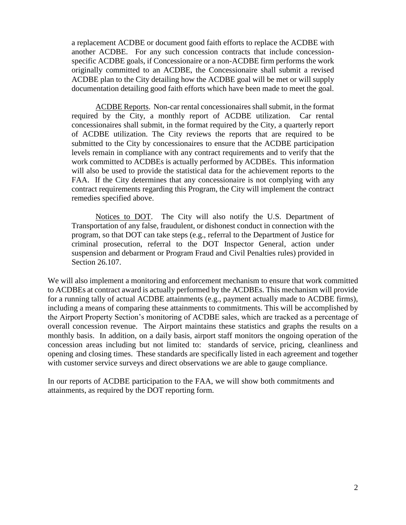a replacement ACDBE or document good faith efforts to replace the ACDBE with another ACDBE. For any such concession contracts that include concessionspecific ACDBE goals, if Concessionaire or a non-ACDBE firm performs the work originally committed to an ACDBE, the Concessionaire shall submit a revised ACDBE plan to the City detailing how the ACDBE goal will be met or will supply documentation detailing good faith efforts which have been made to meet the goal.

ACDBE Reports. Non-car rental concessionaires shall submit, in the format required by the City, a monthly report of ACDBE utilization. Car rental concessionaires shall submit, in the format required by the City, a quarterly report of ACDBE utilization. The City reviews the reports that are required to be submitted to the City by concessionaires to ensure that the ACDBE participation levels remain in compliance with any contract requirements and to verify that the work committed to ACDBEs is actually performed by ACDBEs. This information will also be used to provide the statistical data for the achievement reports to the FAA. If the City determines that any concessionaire is not complying with any contract requirements regarding this Program, the City will implement the contract remedies specified above.

Notices to DOT. The City will also notify the U.S. Department of Transportation of any false, fraudulent, or dishonest conduct in connection with the program, so that DOT can take steps (e.g., referral to the Department of Justice for criminal prosecution, referral to the DOT Inspector General, action under suspension and debarment or Program Fraud and Civil Penalties rules) provided in Section 26.107.

We will also implement a monitoring and enforcement mechanism to ensure that work committed to ACDBEs at contract award is actually performed by the ACDBEs. This mechanism will provide for a running tally of actual ACDBE attainments (e.g., payment actually made to ACDBE firms), including a means of comparing these attainments to commitments. This will be accomplished by the Airport Property Section's monitoring of ACDBE sales, which are tracked as a percentage of overall concession revenue. The Airport maintains these statistics and graphs the results on a monthly basis. In addition, on a daily basis, airport staff monitors the ongoing operation of the concession areas including but not limited to: standards of service, pricing, cleanliness and opening and closing times. These standards are specifically listed in each agreement and together with customer service surveys and direct observations we are able to gauge compliance.

In our reports of ACDBE participation to the FAA, we will show both commitments and attainments, as required by the DOT reporting form.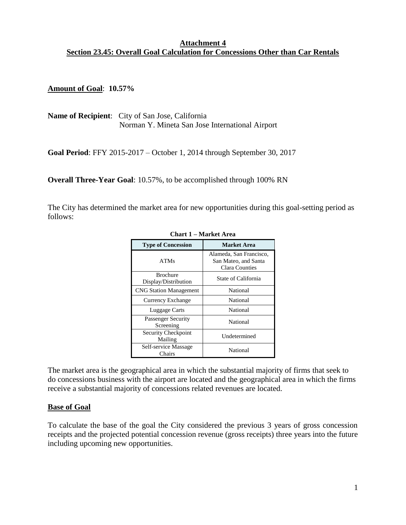#### **Attachment 4 Section 23.45: Overall Goal Calculation for Concessions Other than Car Rentals**

**Amount of Goal**: **10.57%**

**Name of Recipient**: City of San Jose, California Norman Y. Mineta San Jose International Airport

**Goal Period**: FFY 2015-2017 – October 1, 2014 through September 30, 2017

**Overall Three-Year Goal**: 10.57%, to be accomplished through 100% RN

The City has determined the market area for new opportunities during this goal-setting period as follows:

| <b>Type of Concession</b>               | <b>Market Area</b>                                                |  |
|-----------------------------------------|-------------------------------------------------------------------|--|
| <b>ATMs</b>                             | Alameda, San Francisco,<br>San Mateo, and Santa<br>Clara Counties |  |
| <b>Brochure</b><br>Display/Distribution | State of California                                               |  |
| <b>CNG Station Management</b>           | National                                                          |  |
| Currency Exchange                       | National                                                          |  |
| Luggage Carts                           | National                                                          |  |
| Passenger Security<br>Screening         | National                                                          |  |
| Security Checkpoint<br>Mailing          | Undetermined                                                      |  |
| Self-service Massage<br>Chairs          | National                                                          |  |

**Chart 1 – Market Area** 

The market area is the geographical area in which the substantial majority of firms that seek to do concessions business with the airport are located and the geographical area in which the firms receive a substantial majority of concessions related revenues are located.

#### **Base of Goal**

To calculate the base of the goal the City considered the previous 3 years of gross concession receipts and the projected potential concession revenue (gross receipts) three years into the future including upcoming new opportunities.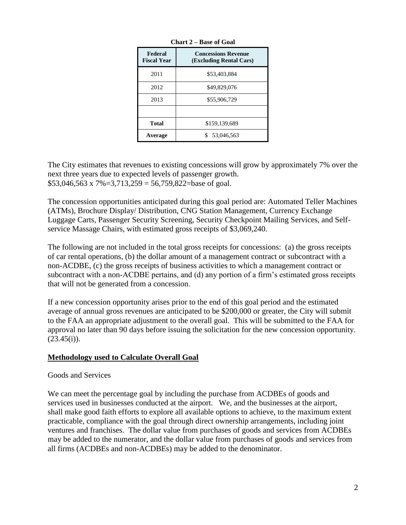| Federal<br><b>Fiscal Year</b> | <b>Concessions Revenue</b><br>(Excluding Rental Cars) |  |  |
|-------------------------------|-------------------------------------------------------|--|--|
| 2011                          | \$53,403,884                                          |  |  |
| 2012                          | \$49,829,076                                          |  |  |
| 2013                          | \$55,906,729                                          |  |  |
|                               |                                                       |  |  |
| <b>Total</b>                  | \$159,139,689                                         |  |  |
| Average                       | 53,046,563                                            |  |  |

**Chart 2 – Base of Goal**

The City estimates that revenues to existing concessions will grow by approximately 7% over the next three years due to expected levels of passenger growth.  $$53,046,563 \times 7\% = 3,713,259 = 56,759,822 =$ base of goal.

The concession opportunities anticipated during this goal period are: Automated Teller Machines (ATMs), Brochure Display/ Distribution, CNG Station Management, Currency Exchange Luggage Carts, Passenger Security Screening, Security Checkpoint Mailing Services, and Selfservice Massage Chairs, with estimated gross receipts of \$3,069,240.

The following are not included in the total gross receipts for concessions: (a) the gross receipts of car rental operations, (b) the dollar amount of a management contract or subcontract with a non-ACDBE, (c) the gross receipts of business activities to which a management contract or subcontract with a non-ACDBE pertains, and (d) any portion of a firm's estimated gross receipts that will not be generated from a concession.

If a new concession opportunity arises prior to the end of this goal period and the estimated average of annual gross revenues are anticipated to be \$200,000 or greater, the City will submit to the FAA an appropriate adjustment to the overall goal. This will be submitted to the FAA for approval no later than 90 days before issuing the solicitation for the new concession opportunity.  $(23.45(i))$ .

# **Methodology used to Calculate Overall Goal**

#### Goods and Services

We can meet the percentage goal by including the purchase from ACDBEs of goods and services used in businesses conducted at the airport. We, and the businesses at the airport, shall make good faith efforts to explore all available options to achieve, to the maximum extent practicable, compliance with the goal through direct ownership arrangements, including joint ventures and franchises. The dollar value from purchases of goods and services from ACDBEs may be added to the numerator, and the dollar value from purchases of goods and services from all firms (ACDBEs and non-ACDBEs) may be added to the denominator.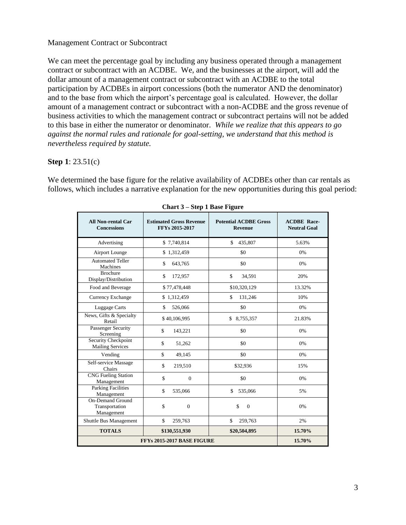#### Management Contract or Subcontract

We can meet the percentage goal by including any business operated through a management contract or subcontract with an ACDBE. We, and the businesses at the airport, will add the dollar amount of a management contract or subcontract with an ACDBE to the total participation by ACDBEs in airport concessions (both the numerator AND the denominator) and to the base from which the airport's percentage goal is calculated. However, the dollar amount of a management contract or subcontract with a non-ACDBE and the gross revenue of business activities to which the management contract or subcontract pertains will not be added to this base in either the numerator or denominator. *While we realize that this appears to go against the normal rules and rationale for goal-setting, we understand that this method is nevertheless required by statute.* 

#### **Step 1**: 23.51(c)

We determined the base figure for the relative availability of ACDBEs other than car rentals as follows, which includes a narrative explanation for the new opportunities during this goal period:

| <b>All Non-rental Car</b><br><b>Concessions</b>         | <b>Estimated Gross Revenue</b><br>FFYs 2015-2017 | <b>Potential ACDBE Gross</b><br><b>Revenue</b> | <b>ACDBE Race-</b><br><b>Neutral Goal</b> |
|---------------------------------------------------------|--------------------------------------------------|------------------------------------------------|-------------------------------------------|
| Advertising                                             | \$7,740,814                                      | \$<br>435,807                                  | 5.63%                                     |
| Airport Lounge                                          | \$1,312,459                                      | \$0                                            | 0%                                        |
| <b>Automated Teller</b><br>Machines                     | \$<br>643,765                                    | \$0                                            | 0%                                        |
| <b>Brochure</b><br>Display/Distribution                 | \$<br>172,957                                    | \$<br>34,591                                   | 20%                                       |
| Food and Beverage                                       | \$77,478,448                                     | \$10,320,129                                   | 13.32%                                    |
| Currency Exchange                                       | \$1,312,459                                      | \$<br>131,246                                  | 10%                                       |
| <b>Luggage Carts</b>                                    | \$<br>526,066                                    | \$0                                            | 0%                                        |
| News, Gifts & Specialty<br>Retail                       | \$40,106,995                                     | \$8,755,357                                    | 21.83%                                    |
| Passenger Security<br>Screening                         | \$<br>143,221                                    | \$0                                            | 0%                                        |
| Security Checkpoint<br><b>Mailing Services</b>          | \$<br>51,262                                     | \$0                                            | 0%                                        |
| Vending                                                 | \$<br>49,145                                     | \$0                                            | 0%                                        |
| Self-service Massage<br><b>Chairs</b>                   | \$<br>219,510                                    | \$32,936                                       | 15%                                       |
| <b>CNG Fueling Station</b><br>Management                | \$<br>$\Omega$                                   | \$0                                            | 0%                                        |
| <b>Parking Facilities</b><br>Management                 | \$<br>535,066                                    | \$<br>535,066                                  | 5%                                        |
| <b>On-Demand Ground</b><br>Transportation<br>Management | \$<br>$\Omega$                                   | \$<br>$\theta$                                 | 0%                                        |
| Shuttle Bus Management                                  | \$<br>259,763                                    | \$<br>259,763                                  | 2%                                        |
| <b>TOTALS</b>                                           | \$130,551,930                                    | \$20,504,895                                   | 15.70%                                    |
| FFYs 2015-2017 BASE FIGURE                              | 15.70%                                           |                                                |                                           |

| <b>Chart 3 – Step 1 Base Figure</b> |  |  |  |  |  |
|-------------------------------------|--|--|--|--|--|
|-------------------------------------|--|--|--|--|--|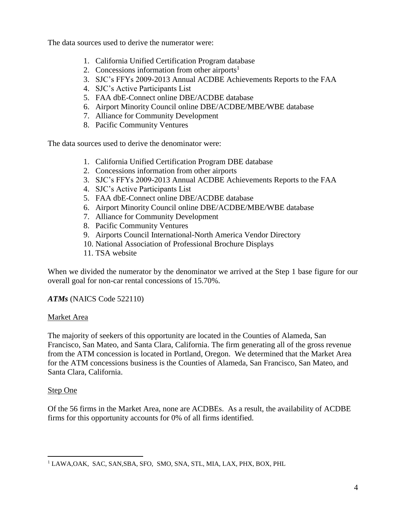The data sources used to derive the numerator were:

- 1. California Unified Certification Program database
- 2. Concessions information from other airports<sup>1</sup>
- 3. SJC's FFYs 2009-2013 Annual ACDBE Achievements Reports to the FAA
- 4. SJC's Active Participants List
- 5. FAA dbE-Connect online DBE/ACDBE database
- 6. Airport Minority Council online DBE/ACDBE/MBE/WBE database
- 7. Alliance for Community Development
- 8. Pacific Community Ventures

The data sources used to derive the denominator were:

- 1. California Unified Certification Program DBE database
- 2. Concessions information from other airports
- 3. SJC's FFYs 2009-2013 Annual ACDBE Achievements Reports to the FAA
- 4. SJC's Active Participants List
- 5. FAA dbE-Connect online DBE/ACDBE database
- 6. Airport Minority Council online DBE/ACDBE/MBE/WBE database
- 7. Alliance for Community Development
- 8. Pacific Community Ventures
- 9. Airports Council International-North America Vendor Directory
- 10. National Association of Professional Brochure Displays
- 11. TSA website

When we divided the numerator by the denominator we arrived at the Step 1 base figure for our overall goal for non-car rental concessions of 15.70%.

# *ATMs* (NAICS Code 522110)

#### Market Area

The majority of seekers of this opportunity are located in the Counties of Alameda, San Francisco, San Mateo, and Santa Clara, California. The firm generating all of the gross revenue from the ATM concession is located in Portland, Oregon. We determined that the Market Area for the ATM concessions business is the Counties of Alameda, San Francisco, San Mateo, and Santa Clara, California.

#### Step One

Of the 56 firms in the Market Area, none are ACDBEs. As a result, the availability of ACDBE firms for this opportunity accounts for 0% of all firms identified.

 $\overline{a}$ <sup>1</sup> LAWA, OAK, SAC, SAN, SBA, SFO, SMO, SNA, STL, MIA, LAX, PHX, BOX, PHL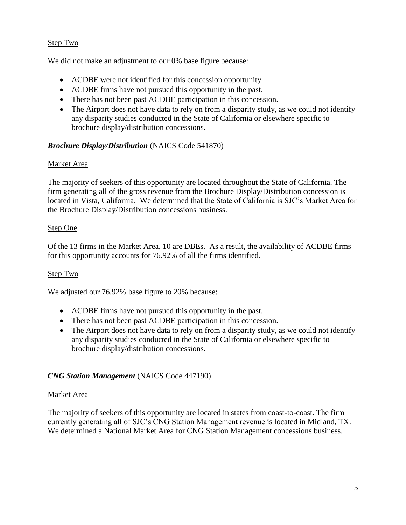#### Step Two

We did not make an adjustment to our 0% base figure because:

- ACDBE were not identified for this concession opportunity.
- ACDBE firms have not pursued this opportunity in the past.
- There has not been past ACDBE participation in this concession.
- The Airport does not have data to rely on from a disparity study, as we could not identify any disparity studies conducted in the State of California or elsewhere specific to brochure display/distribution concessions.

#### *Brochure Display/Distribution* (NAICS Code 541870)

#### Market Area

The majority of seekers of this opportunity are located throughout the State of California. The firm generating all of the gross revenue from the Brochure Display/Distribution concession is located in Vista, California. We determined that the State of California is SJC's Market Area for the Brochure Display/Distribution concessions business.

#### Step One

Of the 13 firms in the Market Area, 10 are DBEs. As a result, the availability of ACDBE firms for this opportunity accounts for 76.92% of all the firms identified.

#### Step Two

We adjusted our 76.92% base figure to 20% because:

- ACDBE firms have not pursued this opportunity in the past.
- There has not been past ACDBE participation in this concession.
- The Airport does not have data to rely on from a disparity study, as we could not identify any disparity studies conducted in the State of California or elsewhere specific to brochure display/distribution concessions.

#### *CNG Station Management* (NAICS Code 447190)

#### Market Area

The majority of seekers of this opportunity are located in states from coast-to-coast. The firm currently generating all of SJC's CNG Station Management revenue is located in Midland, TX. We determined a National Market Area for CNG Station Management concessions business.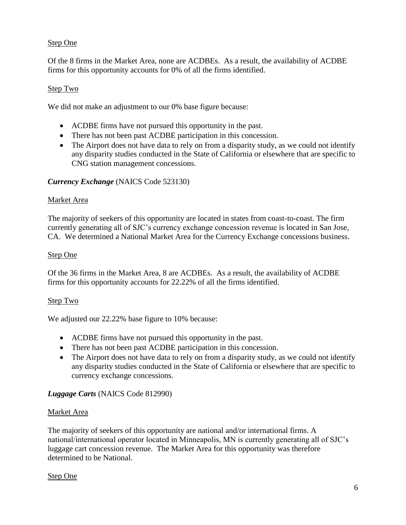#### Step One

Of the 8 firms in the Market Area, none are ACDBEs. As a result, the availability of ACDBE firms for this opportunity accounts for 0% of all the firms identified.

#### Step Two

We did not make an adjustment to our 0% base figure because:

- ACDBE firms have not pursued this opportunity in the past.
- There has not been past ACDBE participation in this concession.
- The Airport does not have data to rely on from a disparity study, as we could not identify any disparity studies conducted in the State of California or elsewhere that are specific to CNG station management concessions.

#### *Currency Exchange* (NAICS Code 523130)

#### Market Area

The majority of seekers of this opportunity are located in states from coast-to-coast. The firm currently generating all of SJC's currency exchange concession revenue is located in San Jose, CA. We determined a National Market Area for the Currency Exchange concessions business.

#### Step One

Of the 36 firms in the Market Area, 8 are ACDBEs. As a result, the availability of ACDBE firms for this opportunity accounts for 22.22% of all the firms identified.

#### Step Two

We adjusted our 22.22% base figure to 10% because:

- ACDBE firms have not pursued this opportunity in the past.
- There has not been past ACDBE participation in this concession.
- The Airport does not have data to rely on from a disparity study, as we could not identify any disparity studies conducted in the State of California or elsewhere that are specific to currency exchange concessions.

#### *Luggage Carts* (NAICS Code 812990)

#### Market Area

The majority of seekers of this opportunity are national and/or international firms. A national/international operator located in Minneapolis, MN is currently generating all of SJC's luggage cart concession revenue. The Market Area for this opportunity was therefore determined to be National.

#### Step One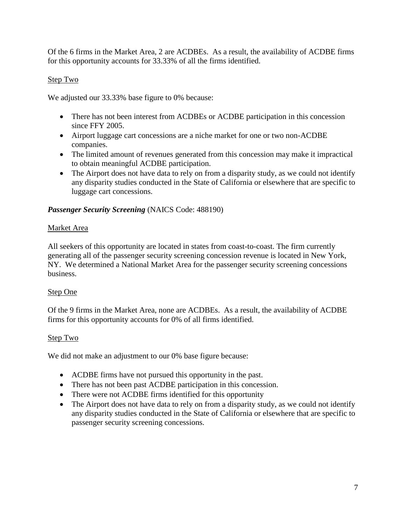Of the 6 firms in the Market Area, 2 are ACDBEs. As a result, the availability of ACDBE firms for this opportunity accounts for 33.33% of all the firms identified.

# Step Two

We adjusted our 33.33% base figure to 0% because:

- There has not been interest from ACDBEs or ACDBE participation in this concession since FFY 2005.
- Airport luggage cart concessions are a niche market for one or two non-ACDBE companies.
- The limited amount of revenues generated from this concession may make it impractical to obtain meaningful ACDBE participation.
- The Airport does not have data to rely on from a disparity study, as we could not identify any disparity studies conducted in the State of California or elsewhere that are specific to luggage cart concessions.

#### *Passenger Security Screening* (NAICS Code: 488190)

#### Market Area

All seekers of this opportunity are located in states from coast-to-coast. The firm currently generating all of the passenger security screening concession revenue is located in New York, NY. We determined a National Market Area for the passenger security screening concessions business.

#### Step One

Of the 9 firms in the Market Area, none are ACDBEs. As a result, the availability of ACDBE firms for this opportunity accounts for 0% of all firms identified.

# Step Two

We did not make an adjustment to our 0% base figure because:

- ACDBE firms have not pursued this opportunity in the past.
- There has not been past ACDBE participation in this concession.
- There were not ACDBE firms identified for this opportunity
- The Airport does not have data to rely on from a disparity study, as we could not identify any disparity studies conducted in the State of California or elsewhere that are specific to passenger security screening concessions.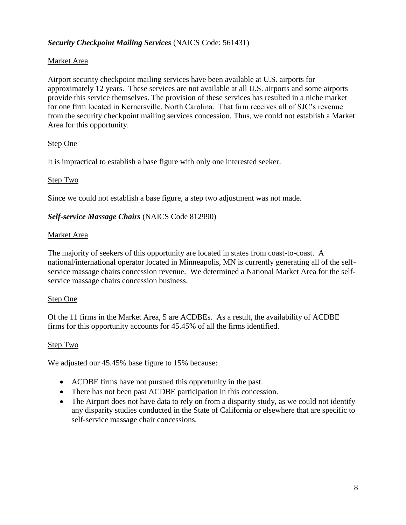# *Security Checkpoint Mailing Services* (NAICS Code: 561431)

### Market Area

Airport security checkpoint mailing services have been available at U.S. airports for approximately 12 years. These services are not available at all U.S. airports and some airports provide this service themselves. The provision of these services has resulted in a niche market for one firm located in Kernersville, North Carolina. That firm receives all of SJC's revenue from the security checkpoint mailing services concession. Thus, we could not establish a Market Area for this opportunity.

#### Step One

It is impractical to establish a base figure with only one interested seeker.

#### Step Two

Since we could not establish a base figure, a step two adjustment was not made.

#### *Self-service Massage Chairs* (NAICS Code 812990)

#### Market Area

The majority of seekers of this opportunity are located in states from coast-to-coast. A national/international operator located in Minneapolis, MN is currently generating all of the selfservice massage chairs concession revenue. We determined a National Market Area for the selfservice massage chairs concession business.

#### Step One

Of the 11 firms in the Market Area, 5 are ACDBEs. As a result, the availability of ACDBE firms for this opportunity accounts for 45.45% of all the firms identified.

#### Step Two

We adjusted our 45.45% base figure to 15% because:

- ACDBE firms have not pursued this opportunity in the past.
- There has not been past ACDBE participation in this concession.
- The Airport does not have data to rely on from a disparity study, as we could not identify any disparity studies conducted in the State of California or elsewhere that are specific to self-service massage chair concessions.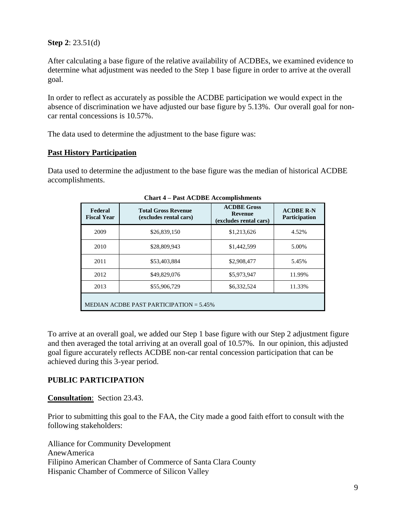#### **Step 2**: 23.51(d)

After calculating a base figure of the relative availability of ACDBEs, we examined evidence to determine what adjustment was needed to the Step 1 base figure in order to arrive at the overall goal.

In order to reflect as accurately as possible the ACDBE participation we would expect in the absence of discrimination we have adjusted our base figure by 5.13%. Our overall goal for noncar rental concessions is 10.57%.

The data used to determine the adjustment to the base figure was:

#### **Past History Participation**

Data used to determine the adjustment to the base figure was the median of historical ACDBE accomplishments.

| Federal<br><b>Fiscal Year</b>             | <b>Total Gross Revenue</b><br>(excludes rental cars) | <b>ACDBE Gross</b><br><b>Revenue</b><br>(excludes rental cars) | <b>ACDBE R-N</b><br><b>Participation</b> |
|-------------------------------------------|------------------------------------------------------|----------------------------------------------------------------|------------------------------------------|
| 2009                                      | \$26,839,150                                         | \$1,213,626                                                    | 4.52%                                    |
| 2010                                      | \$28,809,943                                         | \$1,442,599                                                    | 5.00%                                    |
| 2011                                      | \$53,403,884                                         | \$2,908,477                                                    | 5.45%                                    |
| 2012                                      | \$49,829,076                                         | \$5,973,947                                                    | 11.99%                                   |
| 2013                                      | \$55,906,729                                         | \$6,332,524                                                    | 11.33%                                   |
| MEDIAN ACDBE PAST PARTICIPATION $=$ 5.45% |                                                      |                                                                |                                          |

**Chart 4 – Past ACDBE Accomplishments**

To arrive at an overall goal, we added our Step 1 base figure with our Step 2 adjustment figure and then averaged the total arriving at an overall goal of 10.57%. In our opinion, this adjusted goal figure accurately reflects ACDBE non-car rental concession participation that can be achieved during this 3-year period.

#### **PUBLIC PARTICIPATION**

**Consultation**: Section 23.43.

Prior to submitting this goal to the FAA, the City made a good faith effort to consult with the following stakeholders:

Alliance for Community Development AnewAmerica Filipino American Chamber of Commerce of Santa Clara County Hispanic Chamber of Commerce of Silicon Valley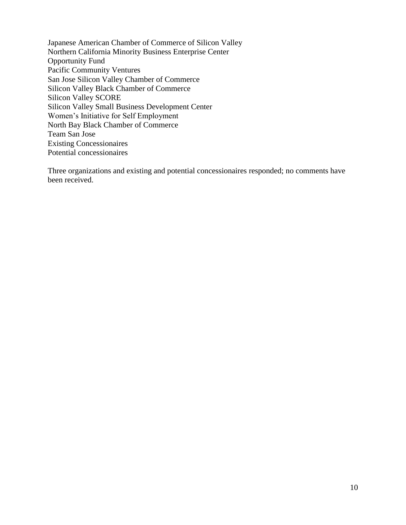Japanese American Chamber of Commerce of Silicon Valley Northern California Minority Business Enterprise Center Opportunity Fund Pacific Community Ventures San Jose Silicon Valley Chamber of Commerce Silicon Valley Black Chamber of Commerce Silicon Valley SCORE Silicon Valley Small Business Development Center Women's Initiative for Self Employment North Bay Black Chamber of Commerce Team San Jose Existing Concessionaires Potential concessionaires

Three organizations and existing and potential concessionaires responded; no comments have been received.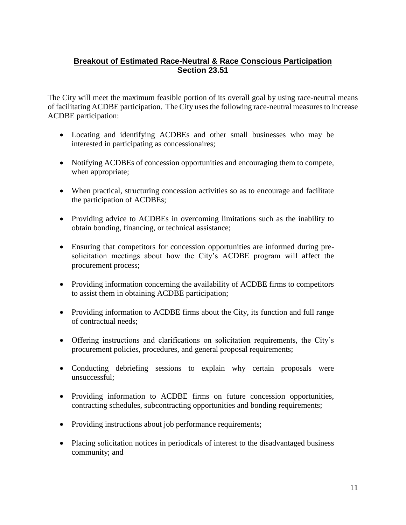# **Breakout of Estimated Race-Neutral & Race Conscious Participation Section 23.51**

The City will meet the maximum feasible portion of its overall goal by using race-neutral means of facilitating ACDBE participation. The City uses the following race-neutral measures to increase ACDBE participation:

- Locating and identifying ACDBEs and other small businesses who may be interested in participating as concessionaires;
- Notifying ACDBEs of concession opportunities and encouraging them to compete, when appropriate;
- When practical, structuring concession activities so as to encourage and facilitate the participation of ACDBEs;
- Providing advice to ACDBEs in overcoming limitations such as the inability to obtain bonding, financing, or technical assistance;
- Ensuring that competitors for concession opportunities are informed during presolicitation meetings about how the City's ACDBE program will affect the procurement process;
- Providing information concerning the availability of ACDBE firms to competitors to assist them in obtaining ACDBE participation;
- Providing information to ACDBE firms about the City, its function and full range of contractual needs;
- Offering instructions and clarifications on solicitation requirements, the City's procurement policies, procedures, and general proposal requirements;
- Conducting debriefing sessions to explain why certain proposals were unsuccessful;
- Providing information to ACDBE firms on future concession opportunities, contracting schedules, subcontracting opportunities and bonding requirements;
- Providing instructions about job performance requirements;
- Placing solicitation notices in periodicals of interest to the disadvantaged business community; and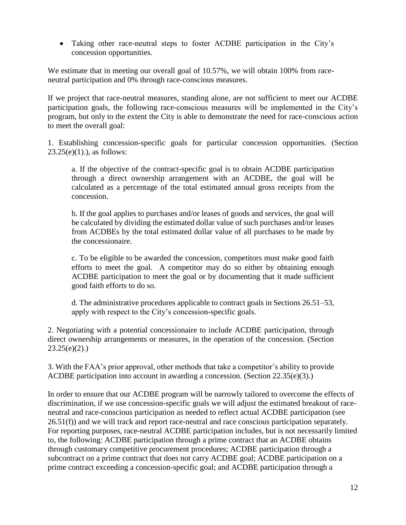Taking other race-neutral steps to foster ACDBE participation in the City's concession opportunities.

We estimate that in meeting our overall goal of 10.57%, we will obtain 100% from raceneutral participation and 0% through race-conscious measures.

If we project that race-neutral measures, standing alone, are not sufficient to meet our ACDBE participation goals, the following race-conscious measures will be implemented in the City's program, but only to the extent the City is able to demonstrate the need for race-conscious action to meet the overall goal:

1. Establishing concession-specific goals for particular concession opportunities. (Section  $23.25(e)(1)$ .), as follows:

a. If the objective of the contract-specific goal is to obtain ACDBE participation through a direct ownership arrangement with an ACDBE, the goal will be calculated as a percentage of the total estimated annual gross receipts from the concession.

b. If the goal applies to purchases and/or leases of goods and services, the goal will be calculated by dividing the estimated dollar value of such purchases and/or leases from ACDBEs by the total estimated dollar value of all purchases to be made by the concessionaire.

c. To be eligible to be awarded the concession, competitors must make good faith efforts to meet the goal. A competitor may do so either by obtaining enough ACDBE participation to meet the goal or by documenting that it made sufficient good faith efforts to do so.

d. The administrative procedures applicable to contract goals in Sections 26.51–53, apply with respect to the City's concession-specific goals.

2. Negotiating with a potential concessionaire to include ACDBE participation, through direct ownership arrangements or measures, in the operation of the concession. (Section  $23.25(e)(2)$ .

3. With the FAA's prior approval, other methods that take a competitor's ability to provide ACDBE participation into account in awarding a concession. (Section 22.35(e)(3).)

In order to ensure that our ACDBE program will be narrowly tailored to overcome the effects of discrimination, if we use concession-specific goals we will adjust the estimated breakout of raceneutral and race-conscious participation as needed to reflect actual ACDBE participation (see 26.51(f)) and we will track and report race-neutral and race conscious participation separately. For reporting purposes, race-neutral ACDBE participation includes, but is not necessarily limited to, the following: ACDBE participation through a prime contract that an ACDBE obtains through customary competitive procurement procedures; ACDBE participation through a subcontract on a prime contract that does not carry ACDBE goal; ACDBE participation on a prime contract exceeding a concession-specific goal; and ACDBE participation through a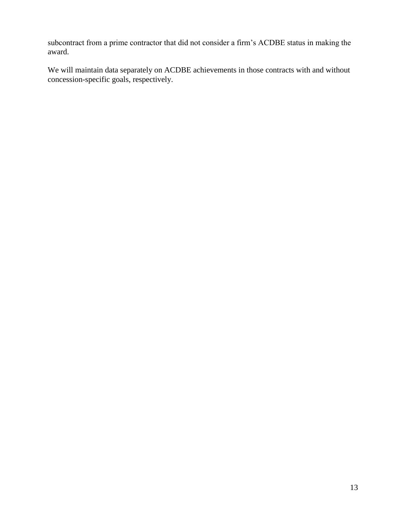subcontract from a prime contractor that did not consider a firm's ACDBE status in making the award.

We will maintain data separately on ACDBE achievements in those contracts with and without concession-specific goals, respectively.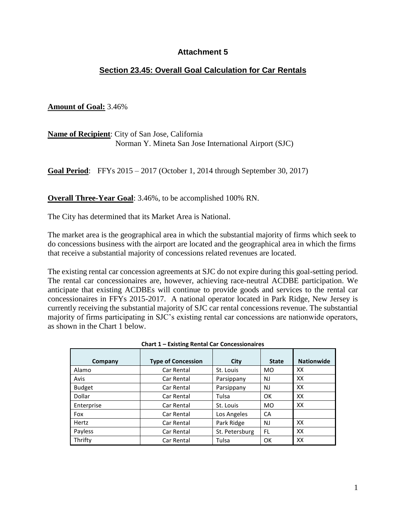# **Section 23.45: Overall Goal Calculation for Car Rentals**

#### **Amount of Goal:** 3.46%

**Name of Recipient**: City of San Jose, California Norman Y. Mineta San Jose International Airport (SJC)

**Goal Period**: FFYs 2015 – 2017 (October 1, 2014 through September 30, 2017)

**Overall Three-Year Goal**: 3.46%, to be accomplished 100% RN.

The City has determined that its Market Area is National.

The market area is the geographical area in which the substantial majority of firms which seek to do concessions business with the airport are located and the geographical area in which the firms that receive a substantial majority of concessions related revenues are located.

The existing rental car concession agreements at SJC do not expire during this goal-setting period. The rental car concessionaires are, however, achieving race-neutral ACDBE participation. We anticipate that existing ACDBEs will continue to provide goods and services to the rental car concessionaires in FFYs 2015-2017. A national operator located in Park Ridge, New Jersey is currently receiving the substantial majority of SJC car rental concessions revenue. The substantial majority of firms participating in SJC's existing rental car concessions are nationwide operators, as shown in the Chart 1 below.

| Company       | <b>Type of Concession</b> | City           | <b>State</b> | <b>Nationwide</b> |
|---------------|---------------------------|----------------|--------------|-------------------|
| Alamo         | Car Rental                | St. Louis      | MO.          | xх                |
| Avis          | Car Rental                | Parsippany     | NJ           | xх                |
| <b>Budget</b> | Car Rental                | Parsippany     | NJ           | XX                |
| Dollar        | Car Rental                | Tulsa          | OK           | XX                |
| Enterprise    | Car Rental                | St. Louis      | <b>MO</b>    | XX                |
| Fox           | Car Rental                | Los Angeles    | CA           |                   |
| Hertz         | Car Rental                | Park Ridge     | NJ           | XX                |
| Payless       | Car Rental                | St. Petersburg | FL.          | XX                |
| Thrifty       | Car Rental                | Tulsa          | OK           | XХ                |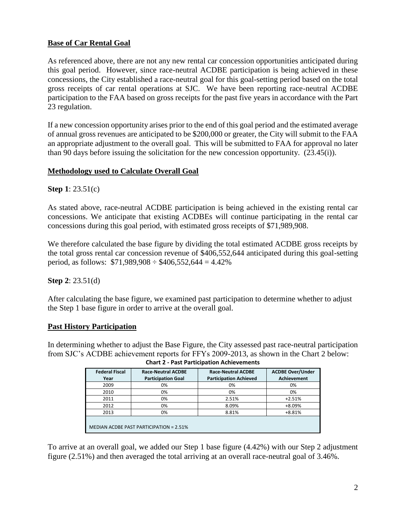#### **Base of Car Rental Goal**

As referenced above, there are not any new rental car concession opportunities anticipated during this goal period. However, since race-neutral ACDBE participation is being achieved in these concessions, the City established a race-neutral goal for this goal-setting period based on the total gross receipts of car rental operations at SJC. We have been reporting race-neutral ACDBE participation to the FAA based on gross receipts for the past five years in accordance with the Part 23 regulation.

If a new concession opportunity arises prior to the end of this goal period and the estimated average of annual gross revenues are anticipated to be \$200,000 or greater, the City will submit to the FAA an appropriate adjustment to the overall goal. This will be submitted to FAA for approval no later than 90 days before issuing the solicitation for the new concession opportunity. (23.45(i)).

#### **Methodology used to Calculate Overall Goal**

**Step 1**: 23.51(c)

As stated above, race-neutral ACDBE participation is being achieved in the existing rental car concessions. We anticipate that existing ACDBEs will continue participating in the rental car concessions during this goal period, with estimated gross receipts of \$71,989,908.

We therefore calculated the base figure by dividing the total estimated ACDBE gross receipts by the total gross rental car concession revenue of \$406,552,644 anticipated during this goal-setting period, as follows:  $$71,989,908 \div $406,552,644 = 4.42\%$ 

#### **Step 2**: 23.51(d)

After calculating the base figure, we examined past participation to determine whether to adjust the Step 1 base figure in order to arrive at the overall goal.

#### **Past History Participation**

In determining whether to adjust the Base Figure, the City assessed past race-neutral participation from SJC's ACDBE achievement reports for FFYs 2009-2013, as shown in the Chart 2 below: **Chart 2 - Past Participation Achievements**

| Charles - Fast Farticipation Achievements |                                                        |                                                            |                                               |  |
|-------------------------------------------|--------------------------------------------------------|------------------------------------------------------------|-----------------------------------------------|--|
| <b>Federal Fiscal</b><br>Year             | <b>Race-Neutral ACDBE</b><br><b>Participation Goal</b> | <b>Race-Neutral ACDBE</b><br><b>Participation Achieved</b> | <b>ACDBE Over/Under</b><br><b>Achievement</b> |  |
| 2009                                      | 0%                                                     | 0%                                                         | 0%                                            |  |
| 2010                                      | 0%                                                     | 0%                                                         | 0%                                            |  |
| 2011                                      | 0%                                                     | 2.51%                                                      | $+2.51%$                                      |  |
| 2012                                      | 0%                                                     | 8.09%                                                      | $+8.09%$                                      |  |
| 2013                                      | 0%                                                     | 8.81%                                                      | +8.81%                                        |  |
| MEDIAN ACDBE PAST PARTICIPATION = 2.51%   |                                                        |                                                            |                                               |  |

| To arrive at an overall goal, we added our Step 1 base figure (4.42%) with our Step 2 adjustment |  |  |
|--------------------------------------------------------------------------------------------------|--|--|
| figure (2.51%) and then averaged the total arriving at an overall race-neutral goal of 3.46%.    |  |  |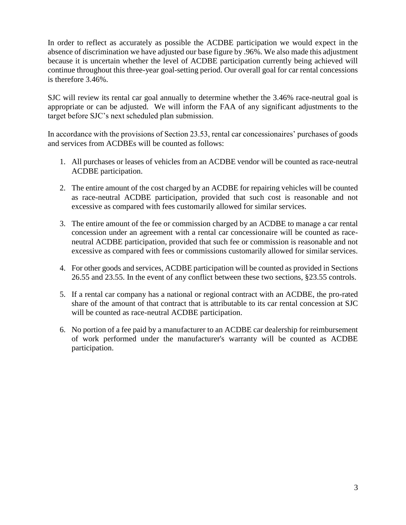In order to reflect as accurately as possible the ACDBE participation we would expect in the absence of discrimination we have adjusted our base figure by .96%. We also made this adjustment because it is uncertain whether the level of ACDBE participation currently being achieved will continue throughout this three-year goal-setting period. Our overall goal for car rental concessions is therefore 3.46%.

SJC will review its rental car goal annually to determine whether the 3.46% race-neutral goal is appropriate or can be adjusted. We will inform the FAA of any significant adjustments to the target before SJC's next scheduled plan submission.

In accordance with the provisions of Section 23.53, rental car concessionaires' purchases of goods and services from ACDBEs will be counted as follows:

- 1. All purchases or leases of vehicles from an ACDBE vendor will be counted as race-neutral ACDBE participation.
- 2. The entire amount of the cost charged by an ACDBE for repairing vehicles will be counted as race-neutral ACDBE participation, provided that such cost is reasonable and not excessive as compared with fees customarily allowed for similar services.
- 3. The entire amount of the fee or commission charged by an ACDBE to manage a car rental concession under an agreement with a rental car concessionaire will be counted as raceneutral ACDBE participation, provided that such fee or commission is reasonable and not excessive as compared with fees or commissions customarily allowed for similar services.
- 4. For other goods and services, ACDBE participation will be counted as provided in Sections 26.55 and 23.55. In the event of any conflict between these two sections, §23.55 controls.
- 5. If a rental car company has a national or regional contract with an ACDBE, the pro-rated share of the amount of that contract that is attributable to its car rental concession at SJC will be counted as race-neutral ACDBE participation.
- 6. No portion of a fee paid by a manufacturer to an ACDBE car dealership for reimbursement of work performed under the manufacturer's warranty will be counted as ACDBE participation.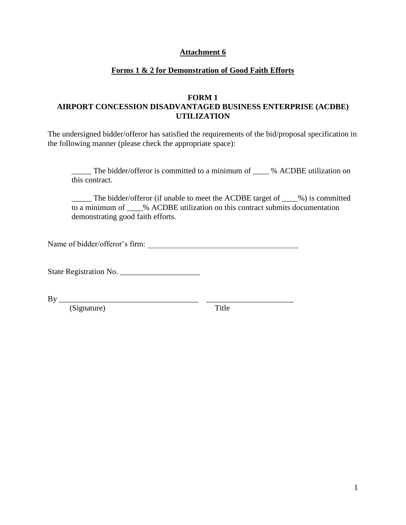#### **Forms 1 & 2 for Demonstration of Good Faith Efforts**

#### **FORM 1 AIRPORT CONCESSION DISADVANTAGED BUSINESS ENTERPRISE (ACDBE) UTILIZATION**

The undersigned bidder/offeror has satisfied the requirements of the bid/proposal specification in the following manner (please check the appropriate space):

\_\_\_\_\_ The bidder/offeror is committed to a minimum of \_\_\_\_ % ACDBE utilization on this contract.

\_\_\_\_\_ The bidder/offeror (if unable to meet the ACDBE target of \_\_\_\_%) is committed to a minimum of \_\_\_\_% ACDBE utilization on this contract submits documentation demonstrating good faith efforts.

Name of bidder/offeror's firm:

State Registration No.

 $\n By \n   
\n \n \n \qquad \qquad \n \qquad \qquad \n \qquad \qquad \n \qquad \qquad \n$ 

(Signature) Title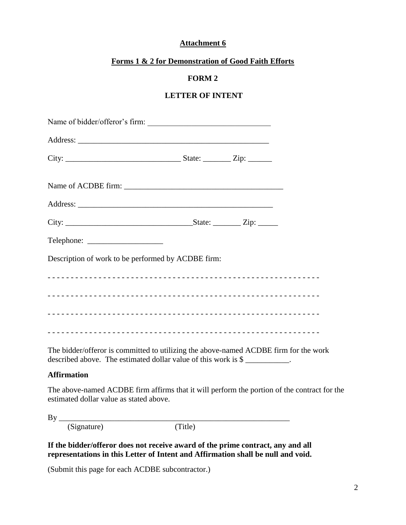#### **Forms 1 & 2 for Demonstration of Good Faith Efforts**

#### **FORM 2**

## **LETTER OF INTENT**

| Name of bidder/offeror's firm:                                                                                                                                                                                                                                                                                              |  |  |
|-----------------------------------------------------------------------------------------------------------------------------------------------------------------------------------------------------------------------------------------------------------------------------------------------------------------------------|--|--|
|                                                                                                                                                                                                                                                                                                                             |  |  |
|                                                                                                                                                                                                                                                                                                                             |  |  |
|                                                                                                                                                                                                                                                                                                                             |  |  |
|                                                                                                                                                                                                                                                                                                                             |  |  |
|                                                                                                                                                                                                                                                                                                                             |  |  |
|                                                                                                                                                                                                                                                                                                                             |  |  |
| Description of work to be performed by ACDBE firm:                                                                                                                                                                                                                                                                          |  |  |
|                                                                                                                                                                                                                                                                                                                             |  |  |
|                                                                                                                                                                                                                                                                                                                             |  |  |
|                                                                                                                                                                                                                                                                                                                             |  |  |
|                                                                                                                                                                                                                                                                                                                             |  |  |
| $\mathbf{T}^1$ , 1.11, 4.6, $\mathcal{C}$ , and $\mathcal{C}$ , and $\mathcal{C}$ , $\mathcal{C}$ , $\mathcal{C}$ , $\mathcal{C}$ , $\mathcal{C}$ , $\mathcal{C}$ , $\mathcal{C}$ , $\mathcal{C}$ , $\mathcal{C}$ , $\mathcal{C}$ , $\mathcal{C}$ , $\mathcal{C}$ , $\mathcal{C}$ , $\mathcal{C}$ , $\mathcal{C}$ , $\math$ |  |  |

The bidder/offeror is committed to utilizing the above-named ACDBE firm for the work described above. The estimated dollar value of this work is \$

#### **Affirmation**

The above-named ACDBE firm affirms that it will perform the portion of the contract for the estimated dollar value as stated above.

By \_\_\_\_\_\_\_\_\_\_\_\_\_\_\_\_\_\_\_\_\_\_\_\_\_\_\_\_\_\_\_\_\_\_\_\_\_\_\_\_\_\_\_\_\_\_\_\_\_\_\_\_\_\_\_\_\_\_

(Signature) (Title)

**If the bidder/offeror does not receive award of the prime contract, any and all representations in this Letter of Intent and Affirmation shall be null and void.**

(Submit this page for each ACDBE subcontractor.)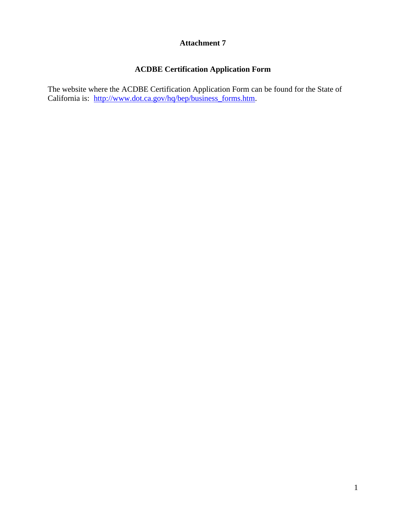# **ACDBE Certification Application Form**

The website where the ACDBE Certification Application Form can be found for the State of California is: [http://www.dot.ca.gov/hq/bep/business\\_forms.htm.](http://www.dot.ca.gov/hq/bep/business_forms.htm)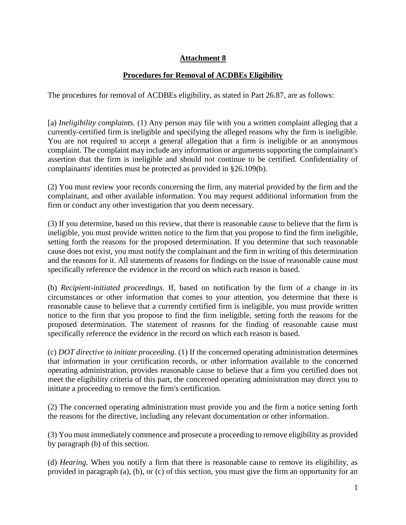## **Procedures for Removal of ACDBEs Eligibility**

The procedures for removal of ACDBEs eligibility, as stated in Part 26.87, are as follows:

[a) *Ineligibility complaints.* (1) Any person may file with you a written complaint alleging that a currently-certified firm is ineligible and specifying the alleged reasons why the firm is ineligible. You are not required to accept a general allegation that a firm is ineligible or an anonymous complaint. The complaint may include any information or arguments supporting the complainant's assertion that the firm is ineligible and should not continue to be certified. Confidentiality of complainants' identities must be protected as provided in §26.109(b).

(2) You must review your records concerning the firm, any material provided by the firm and the complainant, and other available information. You may request additional information from the firm or conduct any other investigation that you deem necessary.

(3) If you determine, based on this review, that there is reasonable cause to believe that the firm is ineligible, you must provide written notice to the firm that you propose to find the firm ineligible, setting forth the reasons for the proposed determination. If you determine that such reasonable cause does not exist, you must notify the complainant and the firm in writing of this determination and the reasons for it. All statements of reasons for findings on the issue of reasonable cause must specifically reference the evidence in the record on which each reason is based.

(b) *Recipient-initiated proceedings.* If, based on notification by the firm of a change in its circumstances or other information that comes to your attention, you determine that there is reasonable cause to believe that a currently certified firm is ineligible, you must provide written notice to the firm that you propose to find the firm ineligible, setting forth the reasons for the proposed determination. The statement of reasons for the finding of reasonable cause must specifically reference the evidence in the record on which each reason is based.

(c) *DOT directive to initiate proceeding.* (1) If the concerned operating administration determines that information in your certification records, or other information available to the concerned operating administration, provides reasonable cause to believe that a firm you certified does not meet the eligibility criteria of this part, the concerned operating administration may direct you to initiate a proceeding to remove the firm's certification.

(2) The concerned operating administration must provide you and the firm a notice setting forth the reasons for the directive, including any relevant documentation or other information.

(3) You must immediately commence and prosecute a proceeding to remove eligibility as provided by paragraph (b) of this section.

(d) *Hearing.* When you notify a firm that there is reasonable cause to remove its eligibility, as provided in paragraph (a), (b), or (c) of this section, you must give the firm an opportunity for an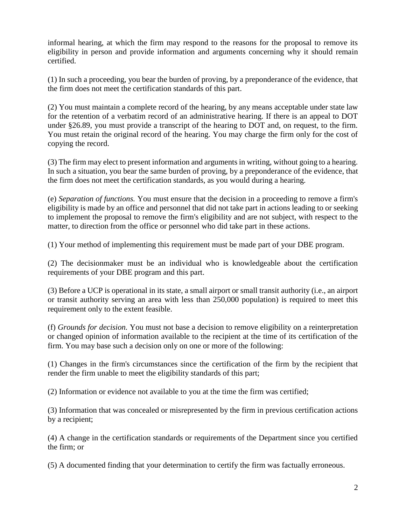informal hearing, at which the firm may respond to the reasons for the proposal to remove its eligibility in person and provide information and arguments concerning why it should remain certified.

(1) In such a proceeding, you bear the burden of proving, by a preponderance of the evidence, that the firm does not meet the certification standards of this part.

(2) You must maintain a complete record of the hearing, by any means acceptable under state law for the retention of a verbatim record of an administrative hearing. If there is an appeal to DOT under §26.89, you must provide a transcript of the hearing to DOT and, on request, to the firm. You must retain the original record of the hearing. You may charge the firm only for the cost of copying the record.

(3) The firm may elect to present information and arguments in writing, without going to a hearing. In such a situation, you bear the same burden of proving, by a preponderance of the evidence, that the firm does not meet the certification standards, as you would during a hearing.

(e) *Separation of functions.* You must ensure that the decision in a proceeding to remove a firm's eligibility is made by an office and personnel that did not take part in actions leading to or seeking to implement the proposal to remove the firm's eligibility and are not subject, with respect to the matter, to direction from the office or personnel who did take part in these actions.

(1) Your method of implementing this requirement must be made part of your DBE program.

(2) The decisionmaker must be an individual who is knowledgeable about the certification requirements of your DBE program and this part.

(3) Before a UCP is operational in its state, a small airport or small transit authority (i.e., an airport or transit authority serving an area with less than 250,000 population) is required to meet this requirement only to the extent feasible.

(f) *Grounds for decision.* You must not base a decision to remove eligibility on a reinterpretation or changed opinion of information available to the recipient at the time of its certification of the firm. You may base such a decision only on one or more of the following:

(1) Changes in the firm's circumstances since the certification of the firm by the recipient that render the firm unable to meet the eligibility standards of this part;

(2) Information or evidence not available to you at the time the firm was certified;

(3) Information that was concealed or misrepresented by the firm in previous certification actions by a recipient;

(4) A change in the certification standards or requirements of the Department since you certified the firm; or

(5) A documented finding that your determination to certify the firm was factually erroneous.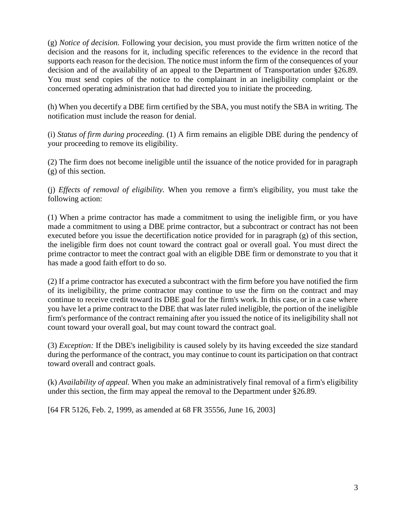(g) *Notice of decision.* Following your decision, you must provide the firm written notice of the decision and the reasons for it, including specific references to the evidence in the record that supports each reason for the decision. The notice must inform the firm of the consequences of your decision and of the availability of an appeal to the Department of Transportation under §26.89. You must send copies of the notice to the complainant in an ineligibility complaint or the concerned operating administration that had directed you to initiate the proceeding.

(h) When you decertify a DBE firm certified by the SBA, you must notify the SBA in writing. The notification must include the reason for denial.

(i) *Status of firm during proceeding.* (1) A firm remains an eligible DBE during the pendency of your proceeding to remove its eligibility.

(2) The firm does not become ineligible until the issuance of the notice provided for in paragraph (g) of this section.

(j) *Effects of removal of eligibility.* When you remove a firm's eligibility, you must take the following action:

(1) When a prime contractor has made a commitment to using the ineligible firm, or you have made a commitment to using a DBE prime contractor, but a subcontract or contract has not been executed before you issue the decertification notice provided for in paragraph (g) of this section, the ineligible firm does not count toward the contract goal or overall goal. You must direct the prime contractor to meet the contract goal with an eligible DBE firm or demonstrate to you that it has made a good faith effort to do so.

(2) If a prime contractor has executed a subcontract with the firm before you have notified the firm of its ineligibility, the prime contractor may continue to use the firm on the contract and may continue to receive credit toward its DBE goal for the firm's work. In this case, or in a case where you have let a prime contract to the DBE that was later ruled ineligible, the portion of the ineligible firm's performance of the contract remaining after you issued the notice of its ineligibility shall not count toward your overall goal, but may count toward the contract goal.

(3) *Exception:* If the DBE's ineligibility is caused solely by its having exceeded the size standard during the performance of the contract, you may continue to count its participation on that contract toward overall and contract goals.

(k) *Availability of appeal.* When you make an administratively final removal of a firm's eligibility under this section, the firm may appeal the removal to the Department under §26.89.

[64 FR 5126, Feb. 2, 1999, as amended at 68 FR 35556, June 16, 2003]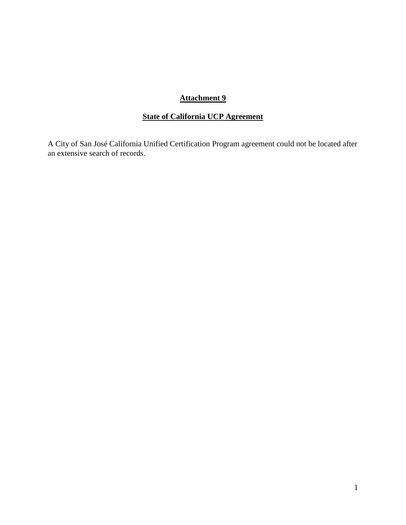# **State of California UCP Agreement**

A City of San José California Unified Certification Program agreement could not be located after an extensive search of records.